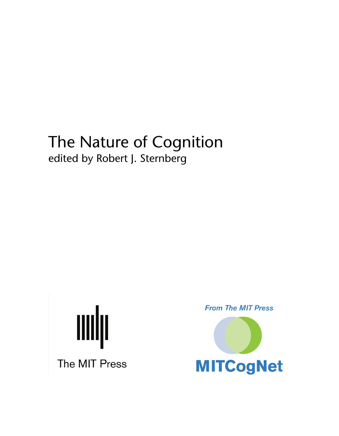# The Nature of Cognition edited by Robert J. Sternberg



**From The MIT Press** 

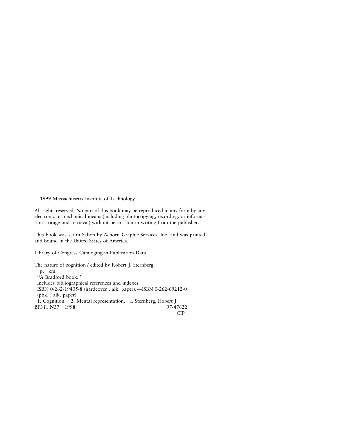1999 Massachusetts Institute of Technology

All rights reserved. No part of this book may be reproduced in any form by any electronic or mechanical means (including photocopying, recording, or information storage and retrieval) without permission in writing from the publisher.

This book was set in Sabon by Achorn Graphic Services, Inc. and was printed and bound in the United States of America.

Library of Congress Cataloging-in-Publication Data

The nature of cognition / edited by Robert J. Sternberg.

p. cm. ''A Bradford book.'' Includes bibliographical references and indexes. ISBN 0-262-19405-8 (hardcover : alk. paper).—ISBN 0-262-69212-0 (pbk. : alk. paper) 1. Cognition. 2. Mental representation. I. Sternberg, Robert J. BF311.N37 1998 97-47622 CIP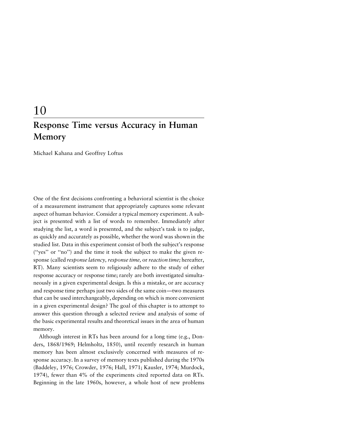# 10 **Response Time versus Accuracy in Human Memory**

Michael Kahana and Geoffrey Loftus

One of the first decisions confronting a behavioral scientist is the choice of a measurement instrument that appropriately captures some relevant aspect of human behavior. Consider a typical memory experiment. A subject is presented with a list of words to remember. Immediately after studying the list, a word is presented, and the subject's task is to judge, as quickly and accurately as possible, whether the word was shown in the studied list. Data in this experiment consist of both the subject's response (''yes'' or ''no'') and the time it took the subject to make the given response (called *response latency, response time,* or *reaction time;* hereafter, RT). Many scientists seem to religiously adhere to the study of either response accuracy or response time; rarely are both investigated simultaneously in a given experimental design. Is this a mistake, or are accuracy and response time perhaps just two sides of the same coin—two measures that can be used interchangeably, depending on which is more convenient in a given experimental design? The goal of this chapter is to attempt to answer this question through a selected review and analysis of some of the basic experimental results and theoretical issues in the area of human memory.

Although interest in RTs has been around for a long time (e.g., Donders, 1868/1969; Helmholtz, 1850), until recently research in human memory has been almost exclusively concerned with measures of response accuracy. In a survey of memory texts published during the 1970s (Baddeley, 1976; Crowder, 1976; Hall, 1971; Kausler, 1974; Murdock, 1974), fewer than 4% of the experiments cited reported data on RTs. Beginning in the late 1960s, however, a whole host of new problems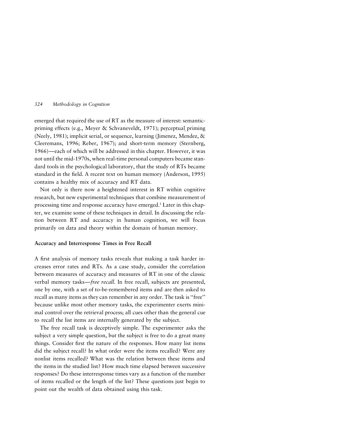emerged that required the use of RT as the measure of interest: semanticpriming effects (e.g., Meyer & Schvaneveldt, 1971); perceptual priming (Neely, 1981); implicit serial, or sequence, learning (Jimenez, Mendez, & Cleeremans, 1996; Reber, 1967); and short-term memory (Sternberg, 1966)—each of which will be addressed in this chapter. However, it was not until the mid-1970s, when real-time personal computers became standard tools in the psychological laboratory, that the study of RTs became standard in the field. A recent text on human memory (Anderson, 1995) contains a healthy mix of accuracy and RT data.

Not only is there now a heightened interest in RT within cognitive research, but new experimental techniques that combine measurement of processing time and response accuracy have emerged.1 Later in this chapter, we examine some of these techniques in detail. In discussing the relation between RT and accuracy in human cognition, we will focus primarily on data and theory within the domain of human memory.

# **Accuracy and Interresponse Times in Free Recall**

A first analysis of memory tasks reveals that making a task harder increases error rates and RTs. As a case study, consider the correlation between measures of accuracy and measures of RT in one of the classic verbal memory tasks—*free recall.* In free recall, subjects are presented, one by one, with a set of to-be-remembered items and are then asked to recall as many items as they can remember in any order. The task is ''free'' because unlike most other memory tasks, the experimenter exerts minimal control over the retrieval process; all cues other than the general cue to recall the list items are internally generated by the subject.

The free recall task is deceptively simple. The experimenter asks the subject a very simple question, but the subject is free to do a great many things. Consider first the nature of the responses. How many list items did the subject recall? In what order were the items recalled? Were any nonlist items recalled? What was the relation between these items and the items in the studied list? How much time elapsed between successive responses? Do these interresponse times vary as a function of the number of items recalled or the length of the list? These questions just begin to point out the wealth of data obtained using this task.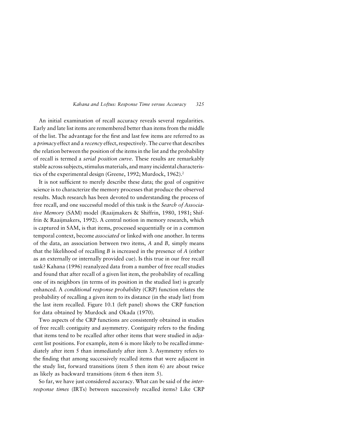An initial examination of recall accuracy reveals several regularities. Early and late list items are remembered better than items from the middle of the list. The advantage for the first and last few items are referred to as a *primacy* effect and a *recency* effect, respectively. The curve that describes the relation between the position of the items in the list and the probability of recall is termed a *serial position curve.* These results are remarkably stable across subjects, stimulus materials, and many incidental characteristics of the experimental design (Greene, 1992; Murdock, 1962).<sup>2</sup>

It is not sufficient to merely describe these data; the goal of cognitive science is to characterize the memory processes that produce the observed results. Much research has been devoted to understanding the process of free recall, and one successful model of this task is the *Search of Associative Memory* (SAM) model (Raaijmakers & Shiffrin, 1980, 1981; Shiffrin & Raaijmakers, 1992). A central notion in memory research, which is captured in SAM, is that items, processed sequentially or in a common temporal context, become *associated* or linked with one another. In terms of the data, an association between two items, *A* and *B,* simply means that the likelihood of recalling *B* is increased in the presence of *A* (either as an externally or internally provided cue). Is this true in our free recall task? Kahana (1996) reanalyzed data from a number of free recall studies and found that after recall of a given list item, the probability of recalling one of its neighbors (in terms of its position in the studied list) is greatly enhanced. A *conditional response probability* (CRP) function relates the probability of recalling a given item to its distance (in the study list) from the last item recalled. Figure 10.1 (left panel) shows the CRP function for data obtained by Murdock and Okada (1970).

Two aspects of the CRP functions are consistently obtained in studies of free recall: contiguity and asymmetry. Contiguity refers to the finding that items tend to be recalled after other items that were studied in adjacent list positions. For example, item 6 is more likely to be recalled immediately after item 5 than immediately after item 3. Asymmetry refers to the finding that among successively recalled items that were adjacent in the study list, forward transitions (item 5 then item 6) are about twice as likely as backward transitions (item 6 then item 5).

So far, we have just considered accuracy. What can be said of the *interresponse times* (IRTs) between successively recalled items? Like CRP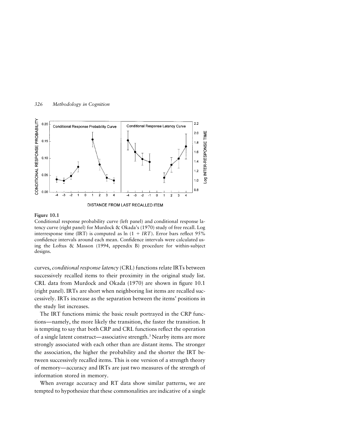



## **Figure 10.1**

Conditional response probability curve (left panel) and conditional response latency curve (right panel) for Murdock & Okada's (1970) study of free recall. Log interresponse time (IRT) is computed as  $\ln (1 + IRT)$ . Error bars reflect 95% confidence intervals around each mean. Confidence intervals were calculated using the Loftus  $\&$  Masson (1994, appendix B) procedure for within-subject designs.

curves, *conditional response latency* (CRL) functions relate IRTs between successively recalled items to their proximity in the original study list. CRL data from Murdock and Okada (1970) are shown in figure 10.1 (right panel). IRTs are short when neighboring list items are recalled successively. IRTs increase as the separation between the items' positions in the study list increases.

The IRT functions mimic the basic result portrayed in the CRP functions—namely, the more likely the transition, the faster the transition. It is tempting to say that both CRP and CRL functions reflect the operation of a single latent construct—associative strength.<sup>3</sup> Nearby items are more strongly associated with each other than are distant items. The stronger the association, the higher the probability and the shorter the IRT between successively recalled items. This is one version of a strength theory of memory—accuracy and IRTs are just two measures of the strength of information stored in memory.

When average accuracy and RT data show similar patterns, we are tempted to hypothesize that these commonalities are indicative of a single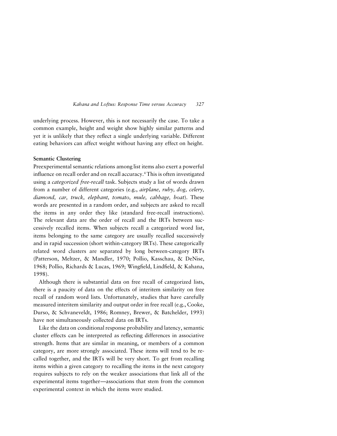underlying process. However, this is not necessarily the case. To take a common example, height and weight show highly similar patterns and yet it is unlikely that they reflect a single underlying variable. Different eating behaviors can affect weight without having any effect on height.

# **Semantic Clustering**

Preexperimental semantic relations among list items also exert a powerful influence on recall order and on recall accuracy.4 This is often investigated using a *categorized free-recall* task. Subjects study a list of words drawn from a number of different categories (e.g., *airplane, ruby, dog, celery, diamond, car, truck, elephant, tomato, mule, cabbage, boat*). These words are presented in a random order, and subjects are asked to recall the items in any order they like (standard free-recall instructions). The relevant data are the order of recall and the IRTs between successively recalled items. When subjects recall a categorized word list, items belonging to the same category are usually recalled successively and in rapid succession (short within-category IRTs). These categorically related word clusters are separated by long between-category IRTs (Patterson, Meltzer, & Mandler, 1970; Pollio, Kasschau, & DeNise, 1968; Pollio, Richards & Lucas, 1969; Wingfield, Lindfield, & Kahana, 1998).

Although there is substantial data on free recall of categorized lists, there is a paucity of data on the effects of interitem similarity on free recall of random word lists. Unfortunately, studies that have carefully measured interitem similarity and output order in free recall (e.g., Cooke, Durso, & Schvaneveldt, 1986; Romney, Brewer, & Batchelder, 1993) have not simultaneously collected data on IRTs.

Like the data on conditional response probability and latency, semantic cluster effects can be interpreted as reflecting differences in associative strength. Items that are similar in meaning, or members of a common category, are more strongly associated. These items will tend to be recalled together, and the IRTs will be very short. To get from recalling items within a given category to recalling the items in the next category requires subjects to rely on the weaker associations that link all of the experimental items together—associations that stem from the common experimental context in which the items were studied.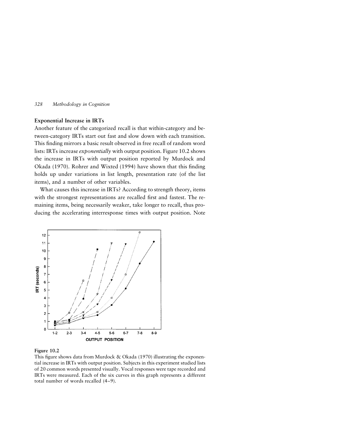# **Exponential Increase in IRTs**

Another feature of the categorized recall is that within-category and between-category IRTs start out fast and slow down with each transition. This finding mirrors a basic result observed in free recall of random word lists: IRTs increase *exponentially* with output position. Figure 10.2 shows the increase in IRTs with output position reported by Murdock and Okada (1970). Rohrer and Wixted (1994) have shown that this finding holds up under variations in list length, presentation rate (of the list items), and a number of other variables.

What causes this increase in IRTs? According to strength theory, items with the strongest representations are recalled first and fastest. The remaining items, being necessarily weaker, take longer to recall, thus producing the accelerating interresponse times with output position. Note



# **Figure 10.2**

This figure shows data from Murdock & Okada (1970) illustrating the exponential increase in IRTs with output position. Subjects in this experiment studied lists of 20 common words presented visually. Vocal responses were tape recorded and IRTs were measured. Each of the six curves in this graph represents a different total number of words recalled (4–9).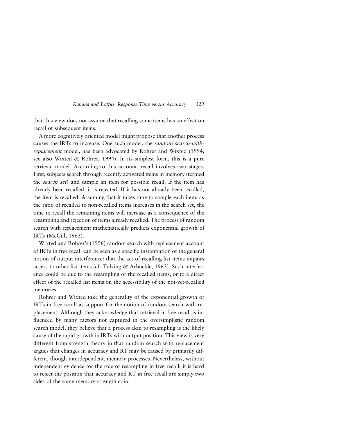that this view does not assume that recalling some items has an effect on recall of subsequent items.

A more cognitively oriented model might propose that another process causes the IRTs to increase. One such model, the *random search-withreplacement* model, has been advocated by Rohrer and Wixted (1994; see also Wixted & Rohrer, 1994). In its simplest form, this is a pure retrieval model. According to this account, recall involves two stages. First, subjects search through recently activated items in memory (termed the *search set*) and sample an item for possible recall. If the item has already been recalled, it is rejected. If it has not already been recalled, the item is recalled. Assuming that it takes time to sample each item, as the ratio of recalled to non-recalled items increases in the search set, the time to recall the remaining items will increase as a consequence of the resampling and rejection of items already recalled. The process of random search with replacement mathematically predicts exponential growth of IRTs (McGill, 1963).

Wixted and Rohrer's (1996) random search with replacement account of IRTs in free recall can be seen as a specific instantiation of the general notion of output interference: that the act of recalling list items impairs access to other list items (cf. Tulving & Arbuckle, 1963). Such interference could be due to the resampling of the recalled items, or to a direct effect of the recalled list items on the accessibility of the not-yet-recalled memories.

Rohrer and Wixted take the generality of the exponential growth of IRTs in free recall as support for the notion of random search with replacement. Although they acknowledge that retrieval in free recall is influenced by many factors not captured in the oversimplistic random search model, they believe that a process akin to resampling is the likely cause of the rapid growth in IRTs with output position. This view is very different from strength theory in that random search with replacement argues that changes in accuracy and RT may be caused by primarily different, though interdependent, memory processes. Nevertheless, without independent evidence for the role of resampling in free recall, it is hard to reject the position that accuracy and RT in free recall are simply two sides of the same memory-strength coin.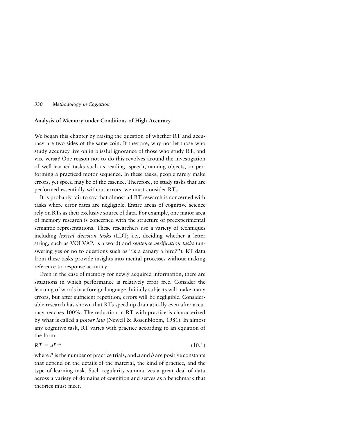# **Analysis of Memory under Conditions of High Accuracy**

We began this chapter by raising the question of whether RT and accuracy are two sides of the same coin. If they are, why not let those who study accuracy live on in blissful ignorance of those who study RT, and vice versa? One reason not to do this revolves around the investigation of well-learned tasks such as reading, speech, naming objects, or performing a practiced motor sequence. In these tasks, people rarely make errors, yet speed may be of the essence. Therefore, to study tasks that are performed essentially without errors, we must consider RTs.

It is probably fair to say that almost all RT research is concerned with tasks where error rates are negligible. Entire areas of cognitive science rely on RTs as their exclusive source of data. For example, one major area of memory research is concerned with the structure of preexperimental semantic representations. These researchers use a variety of techniques including *lexical decision tasks* (LDT; i.e., deciding whether a letter string, such as VOLVAP, is a word) and *sentence verification tasks* (answering yes or no to questions such as ''Is a canary a bird?''). RT data from these tasks provide insights into mental processes without making reference to response accuracy.

Even in the case of memory for newly acquired information, there are situations in which performance is relatively error free. Consider the learning of words in a foreign language. Initially subjects will make many errors, but after sufficient repetition, errors will be negligible. Considerable research has shown that RTs speed up dramatically even after accuracy reaches 100%. The reduction in RT with practice is characterized by what is called a *power law* (Newell & Rosenbloom, 1981). In almost any cognitive task, RT varies with practice according to an equation of the form

$$
RT = aP^{-b} \tag{10.1}
$$

where *P* is the number of practice trials, and *a* and *b* are positive constants that depend on the details of the material, the kind of practice, and the type of learning task. Such regularity summarizes a great deal of data across a variety of domains of cognition and serves as a benchmark that theories must meet.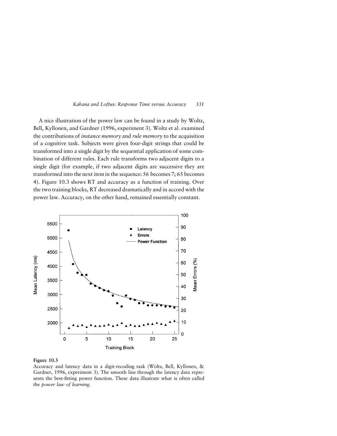A nice illustration of the power law can be found in a study by Woltz, Bell, Kyllonen, and Gardner (1996, experiment 3). Woltz et al. examined the contributions of *instance memory* and *rule memory* to the acquisition of a cognitive task. Subjects were given four-digit strings that could be transformed into a single digit by the sequential application of some combination of different rules. Each rule transforms two adjacent digits to a single digit (for example, if two adjacent digits are successive they are transformed into the next item in the sequence: 56 becomes 7; 65 becomes 4). Figure 10.3 shows RT and accuracy as a function of training. Over the two training blocks, RT decreased dramatically and in accord with the power law. Accuracy, on the other hand, remained essentially constant.



#### **Figure 10.3**

Accuracy and latency data in a digit-recoding task (Woltz, Bell, Kyllonen, & Gardner, 1996, experiment 3). The smooth line through the latency data represents the best-fitting power function. These data illustrate what is often called the *power law of learning.*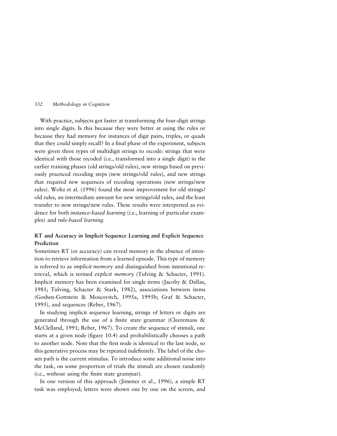With practice, subjects got faster at transforming the four-digit strings into single digits. Is this because they were better at using the rules or because they had memory for instances of digit pairs, triples, or quads that they could simply recall? In a final phase of the experiment, subjects were given three types of multidigit strings to recode: strings that were identical with those recoded (i.e., transformed into a single digit) in the earlier training phases (old strings/old rules), new strings based on previously practiced recoding steps (new strings/old rules), and new strings that required new sequences of recoding operations (new strings/new rules). Woltz et al. (1996) found the most improvement for old strings/ old rules, an intermediate amount for new strings/old rules, and the least transfer to new strings/new rules. These results were interpreted as evidence for both *instance-based learning* (i.e., learning of particular examples) and *rule-based learning.*

# **RT and Accuracy in Implicit Sequence Learning and Explicit Sequence Prediction**

Sometimes RT (or accuracy) can reveal memory in the absence of intention to retrieve information from a learned episode. This type of memory is referred to as *implicit memory* and distinguished from intentional retrieval, which is termed *explicit memory* (Tulving & Schacter, 1991). Implicit memory has been examined for single items (Jacoby & Dallas, 1981; Tulving, Schacter & Stark, 1982), associations between items (Goshen-Gottstein & Moscovitch, 1995a, 1995b; Graf & Schacter, 1995), and sequences (Reber, 1967).

In studying implicit sequence learning, strings of letters or digits are generated through the use of a finite state grammar (Cleeremans & McClelland, 1991; Reber, 1967). To create the sequence of stimuli, one starts at a given node (figure 10.4) and probabilistically chooses a path to another node. Note that the first node is identical to the last node, so this generative process may be repeated indefinitely. The label of the chosen path is the current stimulus. To introduce some additional noise into the task, on some proportion of trials the stimuli are chosen randomly (i.e., without using the finite state grammar).

In one version of this approach (Jimenez et al., 1996), a simple RT task was employed; letters were shown one by one on the screen, and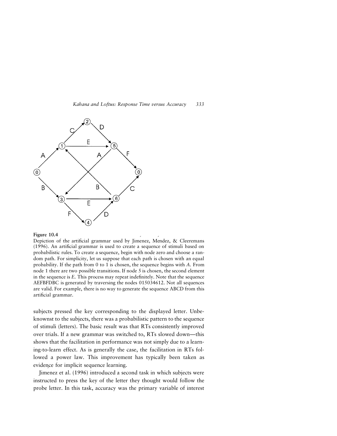



#### **Figure 10.4**

Depiction of the artificial grammar used by Jimenez, Mendez, & Cleeremans (1996). An artificial grammar is used to create a sequence of stimuli based on probabilistic rules. To create a sequence, begin with node zero and choose a random path. For simplicity, let us suppose that each path is chosen with an equal probability. If the path from 0 to 1 is chosen, the sequence begins with *A.* From node 1 there are two possible transitions. If node 5 is chosen, the second element in the sequence is *E.* This process may repeat indefinitely. Note that the sequence AEFBFDBC is generated by traversing the nodes 015034612. Not all sequences are valid. For example, there is no way to generate the sequence ABCD from this artificial grammar.

subjects pressed the key corresponding to the displayed letter. Unbeknownst to the subjects, there was a probabilistic pattern to the sequence of stimuli (letters). The basic result was that RTs consistently improved over trials. If a new grammar was switched to, RTs slowed down—this shows that the facilitation in performance was not simply due to a learning-to-learn effect. As is generally the case, the facilitation in RTs followed a power law. This improvement has typically been taken as evidence for implicit sequence learning.

Jimenez et al. (1996) introduced a second task in which subjects were instructed to press the key of the letter they thought would follow the probe letter. In this task, accuracy was the primary variable of interest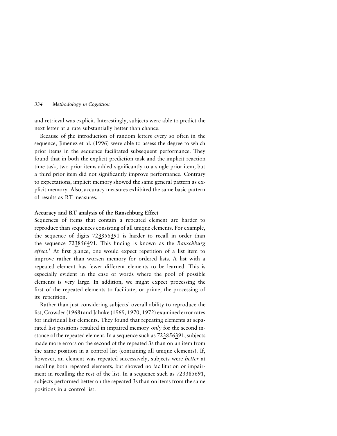and retrieval was explicit. Interestingly, subjects were able to predict the next letter at a rate substantially better than chance.

Because of the introduction of random letters every so often in the sequence, Jimenez et al. (1996) were able to assess the degree to which prior items in the sequence facilitated subsequent performance. They found that in both the explicit prediction task and the implicit reaction time task, two prior items added significantly to a single prior item, but a third prior item did not significantly improve performance. Contrary to expectations, implicit memory showed the same general pattern as explicit memory. Also, accuracy measures exhibited the same basic pattern of results as RT measures.

# **Accuracy and RT analysis of the Ranschburg Effect**

Sequences of items that contain a repeated element are harder to reproduce than sequences consisting of all unique elements. For example, the sequence of digits 723856391 is harder to recall in order than the sequence 723856491. This finding is known as the *Ranschburg effect.*<sup>5</sup> At first glance, one would expect repetition of a list item to improve rather than worsen memory for ordered lists. A list with a repeated element has fewer different elements to be learned. This is especially evident in the case of words where the pool of possible elements is very large. In addition, we might expect processing the first of the repeated elements to facilitate, or prime, the processing of its repetition.

Rather than just considering subjects' overall ability to reproduce the list, Crowder (1968) and Jahnke (1969, 1970, 1972) examined error rates for individual list elements. They found that repeating elements at separated list positions resulted in impaired memory *only* for the second instance of the repeated element. In a sequence such as 723856391, subjects made more errors on the second of the repeated 3s than on an item from the same position in a control list (containing all unique elements). If, however, an element was repeated successively, subjects were *better* at recalling both repeated elements, but showed no facilitation or impairment in recalling the rest of the list. In a sequence such as 723385691, subjects performed better on the repeated 3s than on items from the same positions in a control list.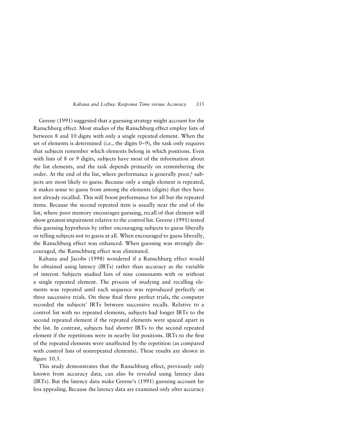Greene (1991) suggested that a guessing strategy might account for the Ranschburg effect. Most studies of the Ranschburg effect employ lists of between 8 and 10 digits with only a single repeated element. When the set of elements is determined (i.e., the digits 0–9), the task only requires that subjects remember which elements belong in which positions. Even with lists of 8 or 9 digits, subjects have most of the information about the list elements, and the task depends primarily on remembering the order. At the end of the list, where performance is generally poor, $6 \text{ sub-}$ jects are most likely to guess. Because only a single element is repeated, it makes sense to guess from among the elements (digits) that they have not already recalled. This will boost performance for all but the repeated items. Because the second repeated item is usually near the end of the list, where poor memory encourages guessing, recall of that element will show greatest impairment relative to the control list. Greene (1991) tested this guessing hypothesis by either encouraging subjects to guess liberally or telling subjects not to guess at all. When encouraged to guess liberally, the Ranschburg effect was enhanced. When guessing was strongly discouraged, the Ranschburg effect was eliminated.

Kahana and Jacobs (1998) wondered if a Ranschburg effect would be obtained using latency (IRTs) rather than accuracy as the variable of interest. Subjects studied lists of nine consonants with or without a single repeated element. The process of studying and recalling elements was repeated until each sequence was reproduced perfectly on three successive trials. On these final three perfect trials, the computer recorded the subjects' IRTs between successive recalls. Relative to a control list with no repeated elements, subjects had longer IRTs to the second repeated element if the repeated elements were spaced apart in the list. In contrast, subjects had shorter IRTs to the second repeated element if the repetitions were in nearby list positions. IRTs to the first of the repeated elements were unaffected by the repetition (as compared with control lists of nonrepeated elements). These results are shown in figure 10.5.

This study demonstrates that the Ranschburg effect, previously only known from accuracy data, can also be revealed using latency data (IRTs). But the latency data make Greene's (1991) guessing account far less appealing. Because the latency data are examined only after accuracy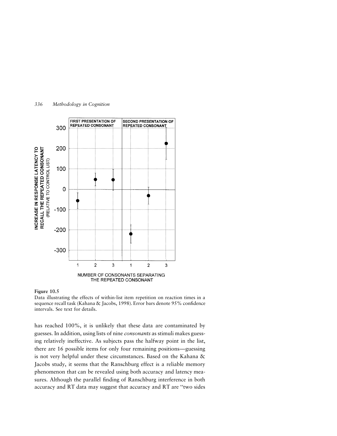



## **Figure 10.5**

Data illustrating the effects of within-list item repetition on reaction times in a sequence recall task (Kahana & Jacobs, 1998). Error bars denote 95% confidence intervals. See text for details.

has reached 100%, it is unlikely that these data are contaminated by guesses. In addition, using lists of nine *consonants* as stimuli makes guessing relatively ineffective. As subjects pass the halfway point in the list, there are 16 possible items for only four remaining positions—guessing is not very helpful under these circumstances. Based on the Kahana & Jacobs study, it seems that the Ranschburg effect is a reliable memory phenomenon that can be revealed using both accuracy and latency measures. Although the parallel finding of Ranschburg interference in both accuracy and RT data may suggest that accuracy and RT are ''two sides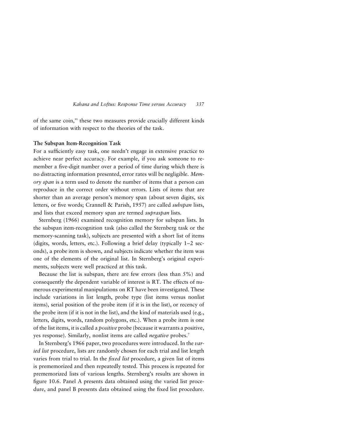of the same coin,'' these two measures provide crucially different kinds of information with respect to the theories of the task.

# **The Subspan Item-Recognition Task**

For a sufficiently easy task, one needn't engage in extensive practice to achieve near perfect accuracy. For example, if you ask someone to remember a five-digit number over a period of time during which there is no distracting information presented, error rates will be negligible. *Memory span* is a term used to denote the number of items that a person can reproduce in the correct order without errors. Lists of items that are shorter than an average person's memory span (about seven digits, six letters, or five words; Crannell & Parish, 1957) are called *subspan* lists, and lists that exceed memory span are termed *supraspan* lists.

Sternberg (1966) examined recognition memory for subspan lists. In the subspan item-recognition task (also called the Sternberg task or the memory-scanning task), subjects are presented with a short list of items (digits, words, letters, etc.). Following a brief delay (typically 1–2 seconds), a probe item is shown, and subjects indicate whether the item was one of the elements of the original list. In Sternberg's original experiments, subjects were well practiced at this task.

Because the list is subspan, there are few errors (less than 5%) and consequently the dependent variable of interest is RT. The effects of numerous experimental manipulations on RT have been investigated. These include variations in list length, probe type (list items versus nonlist items), serial position of the probe item (if it is in the list), or recency of the probe item (if it is not in the list), and the kind of materials used (e.g., letters, digits, words, random polygons, etc.). When a probe item is one of the list items, it is called a *positive* probe (because it warrants a positive, yes response). Similarly, nonlist items are called *negative* probes.7

In Sternberg's 1966 paper, two procedures were introduced. In the *varied list* procedure, lists are randomly chosen for each trial and list length varies from trial to trial. In the *fixed list* procedure, a given list of items is prememorized and then repeatedly tested. This process is repeated for prememorized lists of various lengths. Sternberg's results are shown in figure 10.6. Panel A presents data obtained using the varied list procedure, and panel B presents data obtained using the fixed list procedure.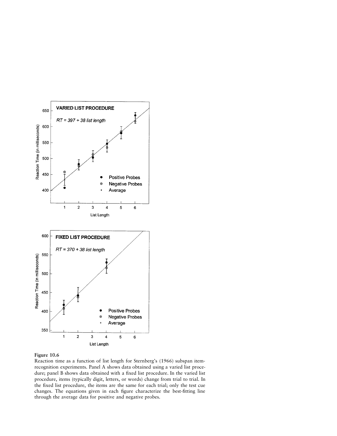

# **Figure 10.6**

Reaction time as a function of list length for Sternberg's (1966) subspan itemrecognition experiments. Panel A shows data obtained using a varied list procedure; panel B shows data obtained with a fixed list procedure. In the varied list procedure, items (typically digit, letters, or words) change from trial to trial. In the fixed list procedure, the items are the same for each trial; only the test cue changes. The equations given in each figure characterize the best-fitting line through the average data for positive and negative probes.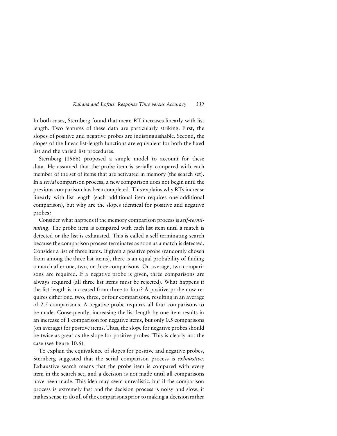In both cases, Sternberg found that mean RT increases linearly with list length. Two features of these data are particularly striking. First, the slopes of positive and negative probes are indistinguishable. Second, the slopes of the linear list-length functions are equivalent for both the fixed list and the varied list procedures.

Sternberg (1966) proposed a simple model to account for these data. He assumed that the probe item is serially compared with each member of the set of items that are activated in memory (the search set). In a *serial* comparison process, a new comparison does not begin until the previous comparison has been completed. This explains why RTs increase linearly with list length (each additional item requires one additional comparison), but why are the slopes identical for positive and negative probes?

Consider what happens if the memory comparison process is*self-terminating.* The probe item is compared with each list item until a match is detected or the list is exhausted. This is called a self-terminating search because the comparison process terminates as soon as a match is detected. Consider a list of three items. If given a positive probe (randomly chosen from among the three list items), there is an equal probability of finding a match after one, two, or three comparisons. On average, two comparisons are required. If a negative probe is given, three comparisons are always required (all three list items must be rejected). What happens if the list length is increased from three to four? A positive probe now requires either one, two, three, or four comparisons, resulting in an average of 2.5 comparisons. A negative probe requires all four comparisons to be made. Consequently, increasing the list length by one item results in an increase of 1 comparison for negative items, but only 0.5 comparisons (on average) for positive items. Thus, the slope for negative probes should be twice as great as the slope for positive probes. This is clearly not the case (see figure 10.6).

To explain the equivalence of slopes for positive and negative probes, Sternberg suggested that the serial comparison process is *exhaustive.* Exhaustive search means that the probe item is compared with every item in the search set, and a decision is not made until all comparisons have been made. This idea may seem unrealistic, but if the comparison process is extremely fast and the decision process is noisy and slow, it makes sense to do all of the comparisons prior to making a decision rather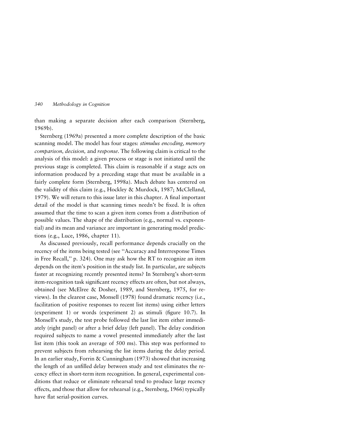than making a separate decision after each comparison (Sternberg, 1969b).

Sternberg (1969a) presented a more complete description of the basic scanning model. The model has four stages: *stimulus encoding, memory comparison, decision,* and *response.* The following claim is critical to the analysis of this model: a given process or stage is not initiated until the previous stage is completed. This claim is reasonable if a stage acts on information produced by a preceding stage that must be available in a fairly complete form (Sternberg, 1998a). Much debate has centered on the validity of this claim (e.g., Hockley & Murdock, 1987; McClelland, 1979). We will return to this issue later in this chapter. A final important detail of the model is that scanning times needn't be fixed. It is often assumed that the time to scan a given item comes from a distribution of possible values. The shape of the distribution (e.g., normal vs. exponential) and its mean and variance are important in generating model predictions (e.g., Luce, 1986, chapter 11).

As discussed previously, recall performance depends crucially on the recency of the items being tested (see ''Accuracy and Interresponse Times in Free Recall,'' p. 324). One may ask how the RT to recognize an item depends on the item's position in the study list. In particular, are subjects faster at recognizing recently presented items? In Sternberg's short-term item-recognition task significant recency effects are often, but not always, obtained (see McElree & Dosher, 1989, and Sternberg, 1975, for reviews). In the clearest case, Monsell (1978) found dramatic recency (i.e., facilitation of positive responses to recent list items) using either letters (experiment 1) or words (experiment 2) as stimuli (figure 10.7). In Monsell's study, the test probe followed the last list item either immediately (right panel) or after a brief delay (left panel). The delay condition required subjects to name a vowel presented immediately after the last list item (this took an average of 500 ms). This step was performed to prevent subjects from rehearsing the list items during the delay period. In an earlier study, Forrin & Cunningham (1973) showed that increasing the length of an unfilled delay between study and test eliminates the recency effect in short-term item recognition. In general, experimental conditions that reduce or eliminate rehearsal tend to produce large recency effects, and those that allow for rehearsal (e.g., Sternberg, 1966) typically have flat serial-position curves.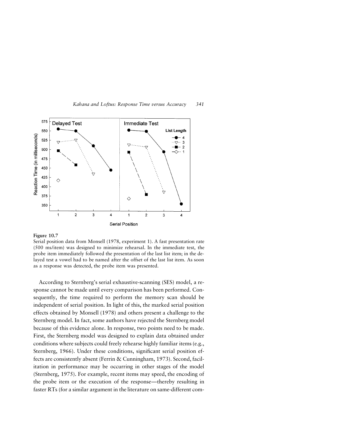



### **Figure 10.7**

Serial position data from Monsell (1978, experiment 1). A fast presentation rate (500 ms/item) was designed to minimize rehearsal. In the immediate test, the probe item immediately followed the presentation of the last list item; in the delayed test a vowel had to be named after the offset of the last list item. As soon as a response was detected, the probe item was presented.

According to Sternberg's serial exhaustive-scanning (SES) model, a response cannot be made until every comparison has been performed. Consequently, the time required to perform the memory scan should be independent of serial position. In light of this, the marked serial position effects obtained by Monsell (1978) and others present a challenge to the Sternberg model. In fact, some authors have rejected the Sternberg model because of this evidence alone. In response, two points need to be made. First, the Sternberg model was designed to explain data obtained under conditions where subjects could freely rehearse highly familiar items (e.g., Sternberg, 1966). Under these conditions, significant serial position effects are consistently absent (Ferrin & Cunningham, 1973). Second, facilitation in performance may be occurring in other stages of the model (Sternberg, 1975). For example, recent items may speed, the encoding of the probe item or the execution of the response—thereby resulting in faster RTs (for a similar argument in the literature on same-different com-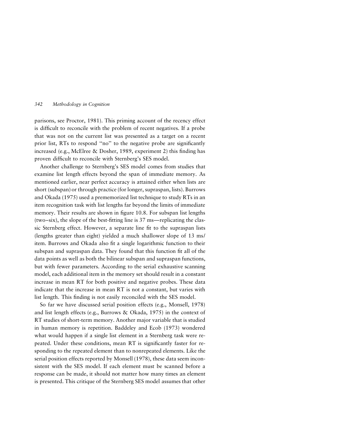parisons, see Proctor, 1981). This priming account of the recency effect is difficult to reconcile with the problem of recent negatives. If a probe that was not on the current list was presented as a target on a recent prior list, RTs to respond ''no'' to the negative probe are significantly increased (e.g., McElree & Dosher, 1989, experiment 2) this finding has proven difficult to reconcile with Sternberg's SES model.

Another challenge to Sternberg's SES model comes from studies that examine list length effects beyond the span of immediate memory. As mentioned earlier, near perfect accuracy is attained either when lists are short (subspan) or through practice (for longer, supraspan, lists). Burrows and Okada (1975) used a prememorized list technique to study RTs in an item recognition task with list lengths far beyond the limits of immediate memory. Their results are shown in figure 10.8. For subspan list lengths (two–six), the slope of the best-fitting line is 37 ms—replicating the classic Sternberg effect. However, a separate line fit to the supraspan lists (lengths greater than eight) yielded a much shallower slope of 13 ms/ item. Burrows and Okada also fit a single logarithmic function to their subspan and supraspan data. They found that this function fit all of the data points as well as both the bilinear subspan and supraspan functions, but with fewer parameters. According to the serial exhaustive scanning model, each additional item in the memory set should result in a constant increase in mean RT for both positive and negative probes. These data indicate that the increase in mean RT is not a constant, but varies with list length. This finding is not easily reconciled with the SES model.

So far we have discussed serial position effects (e.g., Monsell, 1978) and list length effects (e.g., Burrows & Okada, 1975) in the context of RT studies of short-term memory. Another major variable that is studied in human memory is repetition. Baddeley and Ecob (1973) wondered what would happen if a single list element in a Sternberg task were repeated. Under these conditions, mean RT is significantly faster for responding to the repeated element than to nonrepeated elements. Like the serial position effects reported by Monsell (1978), these data seem inconsistent with the SES model. If each element must be scanned before a response can be made, it should not matter how many times an element is presented. This critique of the Sternberg SES model assumes that other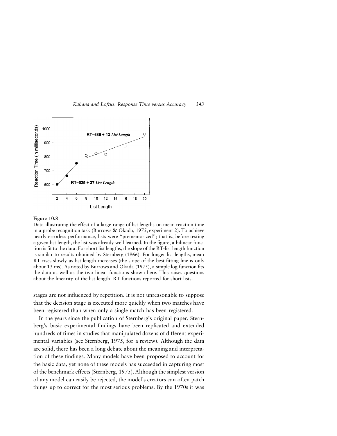



## **Figure 10.8**

Data illustrating the effect of a large range of list lengths on mean reaction time in a probe recognition task (Burrows & Okada, 1975, experiment 2). To achieve nearly errorless performance, lists were ''prememorized''; that is, before testing a given list length, the list was already well learned. In the figure, a bilinear function is fit to the data. For short list lengths, the slope of the RT-list length function is similar to results obtained by Sternberg (1966). For longer list lengths, mean RT rises slowly as list length increases (the slope of the best-fitting line is only about 13 ms). As noted by Burrows and Okada (1975), a simple log function fits the data as well as the two linear functions shown here. This raises questions about the linearity of the list length–RT functions reported for short lists.

stages are not influenced by repetition. It is not unreasonable to suppose that the decision stage is executed more quickly when two matches have been registered than when only a single match has been registered.

In the years since the publication of Sternberg's original paper, Sternberg's basic experimental findings have been replicated and extended hundreds of times in studies that manipulated dozens of different experimental variables (see Sternberg, 1975, for a review). Although the data are solid, there has been a long debate about the meaning and interpretation of these findings. Many models have been proposed to account for the basic data, yet none of these models has succeeded in capturing most of the benchmark effects (Sternberg, 1975). Although the simplest version of any model can easily be rejected, the model's creators can often patch things up to correct for the most serious problems. By the 1970s it was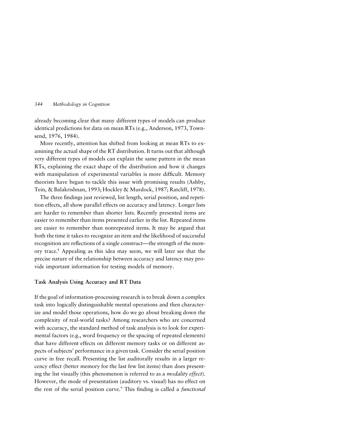already becoming clear that many different types of models can produce identical predictions for data on mean RTs (e.g., Anderson, 1973, Townsend, 1976, 1984).

More recently, attention has shifted from looking at mean RTs to examining the actual shape of the RT distribution. It turns out that although very different types of models can explain the same pattern in the mean RTs, explaining the exact shape of the distribution and how it changes with manipulation of experimental variables is more difficult. Memory theorists have begun to tackle this issue with promising results (Ashby, Tein, & Balakrishnan, 1993; Hockley & Murdock, 1987; Ratcliff, 1978).

The three findings just reviewed, list length, serial position, and repetition effects, all show parallel effects on accuracy and latency. Longer lists are harder to remember than shorter lists. Recently presented items are easier to remember than items presented earlier in the list. Repeated items are easier to remember than nonrepeated items. It may be argued that both the time it takes to recognize an item and the likelihood of successful recognition are reflections of a single construct—the strength of the memory trace.8 Appealing as this idea may seem, we will later see that the precise nature of the relationship between accuracy and latency may provide important information for testing models of memory.

# **Task Analysis Using Accuracy and RT Data**

If the goal of information-processing research is to break down a complex task into logically distinguishable mental operations and then characterize and model those operations, how do we go about breaking down the complexity of real-world tasks? Among researchers who are concerned with accuracy, the standard method of task analysis is to look for experimental factors (e.g., word frequency or the spacing of repeated elements) that have different effects on different memory tasks or on different aspects of subjects' performance in a given task. Consider the serial position curve in free recall. Presenting the list auditorally results in a larger recency effect (better memory for the last few list items) than does presenting the list visually (this phenomenon is referred to as a *modality effect*). However, the mode of presentation (auditory vs. visual) has no effect on the rest of the serial position curve.9 This finding is called a *functional*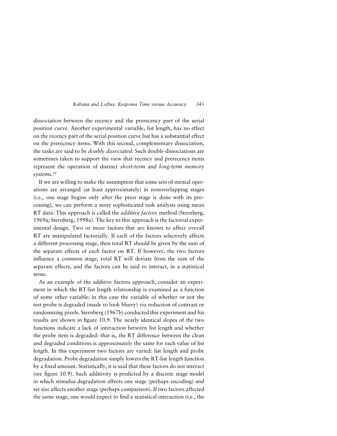*dissociation* between the recency and the prerecency part of the serial position curve. Another experimental variable, list length, has no effect on the recency part of the serial position curve but has a substantial effect on the prerecency items. With this second, complementary dissociation, the tasks are said to be *doubly dissociated.* Such double-dissociations are sometimes taken to support the view that recency and prerecency items represent the operation of distinct *short-term* and *long-term memory systems.*<sup>10</sup>

If we are willing to make the assumption that some sets of mental operations are arranged (at least approximately) in nonoverlapping stages (i.e., one stage begins only after the prior stage is done with its processing), we can perform a more sophisticated task analysis using mean RT data. This approach is called the *additive factors* method (Sternberg, 1969a; Sternberg, 1998a). The key to this approach is the factorial experimental design. Two or more factors that are known to affect overall RT are manipulated factorially. If each of the factors selectively affects a different processing stage, then total RT should be given by the sum of the separate effects of each factor on RT. If however, the two factors influence a common stage, total RT will deviate from the sum of the separate effects, and the factors can be said to interact, in a statistical sense.

As an example of the additive factors approach, consider an experiment in which the RT-list length relationship is examined as a function of some other variable: in this case the variable of whether or not the test probe is degraded (made to look blurry) via reduction of contrast or randomizing pixels. Sternberg (1967b) conducted this experiment and his results are shown in figure 10.9. The nearly identical slopes of the two functions indicate a lack of interaction between list length and whether the probe item is degraded: that is, the RT difference between the clean and degraded conditions is approximately the same for each value of list length. In this experiment two factors are varied: list length and probe degradation. Probe degradation simply lowers the RT-list length function by a fixed amount. Statistically, it is said that these factors do not interact (see figure 10.9). Such additivity is predicted by a discrete stage model in which stimulus degradation affects one stage (perhaps encoding) and set size affects another stage (perhaps comparison). If two factors affected the same stage, one would expect to find a statistical interaction (i.e., the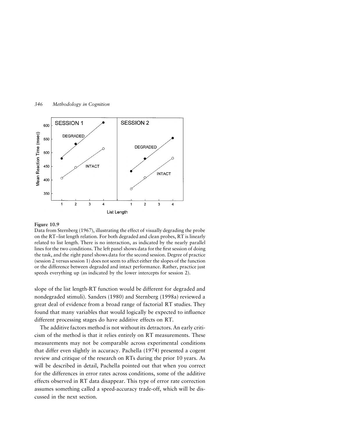



#### **Figure 10.9**

Data from Sternberg (1967), illustrating the effect of visually degrading the probe on the RT–list length relation. For both degraded and clean probes, RT is linearly related to list length. There is no interaction, as indicated by the nearly parallel lines for the two conditions. The left panel shows data for the first session of doing the task, and the right panel shows data for the second session. Degree of practice (session 2 versus session 1) does not seem to affect either the slopes of the function or the difference between degraded and intact performance. Rather, practice just speeds everything up (as indicated by the lower intercepts for session 2).

slope of the list length-RT function would be different for degraded and nondegraded stimuli). Sanders (1980) and Sternberg (1998a) reviewed a great deal of evidence from a broad range of factorial RT studies. They found that many variables that would logically be expected to influence different processing stages do have additive effects on RT.

The additive factors method is not without its detractors. An early criticism of the method is that it relies entirely on RT measurements. These measurements may not be comparable across experimental conditions that differ even slightly in accuracy. Pachella (1974) presented a cogent review and critique of the research on RTs during the prior 10 years. As will be described in detail, Pachella pointed out that when you correct for the differences in error rates across conditions, some of the additive effects observed in RT data disappear. This type of error rate correction assumes something called a speed-accuracy trade-off, which will be discussed in the next section.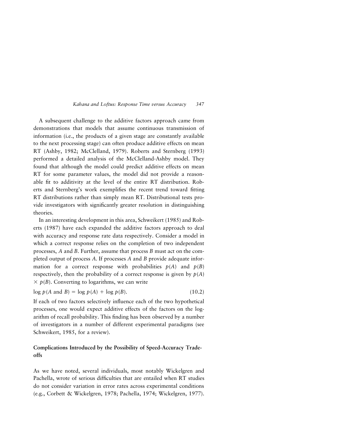A subsequent challenge to the additive factors approach came from demonstrations that models that assume continuous transmission of information (i.e., the products of a given stage are constantly available to the next processing stage) can often produce additive effects on mean RT (Ashby, 1982; McClelland, 1979). Roberts and Sternberg (1993) performed a detailed analysis of the McClelland-Ashby model. They found that although the model could predict additive effects on mean RT for some parameter values, the model did not provide a reasonable fit to additivity at the level of the entire RT distribution. Roberts and Sternberg's work exemplifies the recent trend toward fitting RT distributions rather than simply mean RT. Distributional tests provide investigators with significantly greater resolution in distinguishing theories.

In an interesting development in this area, Schweikert (1985) and Roberts (1987) have each expanded the additive factors approach to deal with accuracy and response rate data respectively. Consider a model in which a correct response relies on the completion of two independent processes, *A* and *B.* Further, assume that process *B* must act on the completed output of process *A.* If processes *A* and *B* provide adequate information for a correct response with probabilities  $p(A)$  and  $p(B)$ respectively, then the probability of a correct response is given by  $p(A)$  $\times$  *p*(*B*). Converting to logarithms, we can write

$$
\log p(A \text{ and } B) = \log p(A) + \log p(B). \tag{10.2}
$$

If each of two factors selectively influence each of the two hypothetical processes, one would expect additive effects of the factors on the logarithm of recall probability. This finding has been observed by a number of investigators in a number of different experimental paradigms (see Schweikert, 1985, for a review).

# **Complications Introduced by the Possibility of Speed-Accuracy Tradeoffs**

As we have noted, several individuals, most notably Wickelgren and Pachella, wrote of serious difficulties that are entailed when RT studies do not consider variation in error rates across experimental conditions (e.g., Corbett & Wickelgren, 1978; Pachella, 1974; Wickelgren, 1977).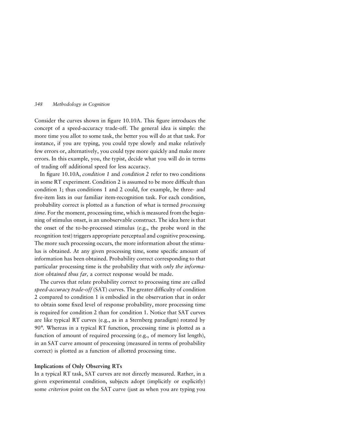Consider the curves shown in figure 10.10A. This figure introduces the concept of a speed-accuracy trade-off. The general idea is simple: the more time you allot to some task, the better you will do at that task. For instance, if you are typing, you could type slowly and make relatively few errors or, alternatively, you could type more quickly and make more errors. In this example, you, the typist, decide what you will do in terms of trading off additional speed for less accuracy.

In figure 10.10A, *condition 1* and *condition 2* refer to two conditions in some RT experiment. Condition 2 is assumed to be more difficult than condition 1; thus conditions 1 and 2 could, for example, be three- and five-item lists in our familiar item-recognition task. For each condition, probability correct is plotted as a function of what is termed *processing time*. For the moment, processing time, which is measured from the beginning of stimulus onset, is an unobservable construct. The idea here is that the onset of the to-be-processed stimulus (e.g., the probe word in the recognition test) triggers appropriate perceptual and cognitive processing. The more such processing occurs, the more information about the stimulus is obtained. At any given processing time, some specific amount of information has been obtained. Probability correct corresponding to that particular processing time is the probability that with *only the information obtained thus far,* a correct response would be made.

The curves that relate probability correct to processing time are called *speed-accuracy trade-off* (SAT) curves. The greater difficulty of condition 2 compared to condition 1 is embodied in the observation that in order to obtain some fixed level of response probability, more processing time is required for condition 2 than for condition 1. Notice that SAT curves are like typical RT curves (e.g., as in a Sternberg paradigm) rotated by 90°. Whereas in a typical RT function, processing time is plotted as a function of amount of required processing (e.g., of memory list length), in an SAT curve amount of processing (measured in terms of probability correct) is plotted as a function of allotted processing time.

# **Implications of Only Observing RTs**

In a typical RT task, SAT curves are not directly measured. Rather, in a given experimental condition, subjects adopt (implicitly or explicitly) some *criterion* point on the SAT curve (just as when you are typing you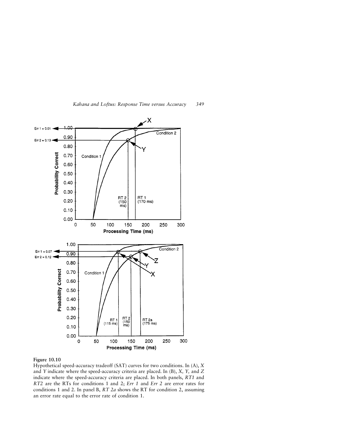



# **Figure 10.10**

Hypothetical speed-accuracy tradeoff (SAT) curves for two conditions. In (A), *X* and *Y* indicate where the speed-accuracy criteria are placed. In (B), *X, Y,* and *Z* indicate where the speed-accuracy criteria are placed. In both panels, *RT1* and *RT2* are the RTs for conditions 1 and 2; *Err 1* and *Err 2* are error rates for conditions 1 and 2. In panel B, *RT 2a* shows the RT for condition 2, assuming an error rate equal to the error rate of condition 1.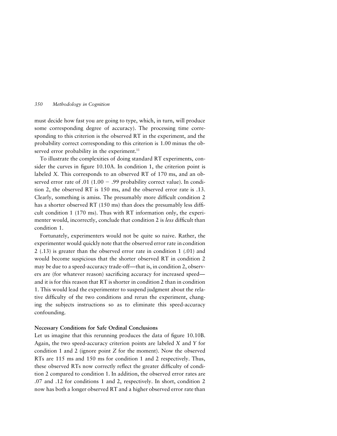must decide how fast you are going to type, which, in turn, will produce some corresponding degree of accuracy). The processing time corresponding to this criterion is the observed RT in the experiment, and the probability correct corresponding to this criterion is 1.00 minus the observed error probability in the experiment.<sup>11</sup>

To illustrate the complexities of doing standard RT experiments, consider the curves in figure 10.10A. In condition 1, the criterion point is labeled *X.* This corresponds to an observed RT of 170 ms, and an observed error rate of  $.01$  (1.00 - .99 probability correct value). In condition 2, the observed RT is 150 ms, and the observed error rate is .13. Clearly, something is amiss. The presumably more difficult condition 2 has a shorter observed RT (150 ms) than does the presumably less difficult condition 1 (170 ms). Thus with RT information only, the experimenter would, incorrectly, conclude that condition 2 is *less* difficult than condition 1.

Fortunately, experimenters would not be quite so naive. Rather, the experimenter would quickly note that the observed error rate in condition 2 (.13) is greater than the observed error rate in condition 1 (.01) and would become suspicious that the shorter observed RT in condition 2 may be due to a speed-accuracy trade-off—that is, in condition 2, observers are (for whatever reason) sacrificing accuracy for increased speed and it is for this reason that RT is shorter in condition 2 than in condition 1. This would lead the experimenter to suspend judgment about the relative difficulty of the two conditions and rerun the experiment, changing the subjects instructions so as to eliminate this speed-accuracy confounding.

# **Necessary Conditions for Safe Ordinal Conclusions**

Let us imagine that this rerunning produces the data of figure 10.10B. Again, the two speed-accuracy criterion points are labeled *X* and *Y* for condition 1 and 2 (ignore point *Z* for the moment). Now the observed RTs are 115 ms and 150 ms for condition 1 and 2 respectively. Thus, these observed RTs now correctly reflect the greater difficulty of condition 2 compared to condition 1. In addition, the observed error rates are .07 and .12 for conditions 1 and 2, respectively. In short, condition 2 now has both a longer observed RT and a higher observed error rate than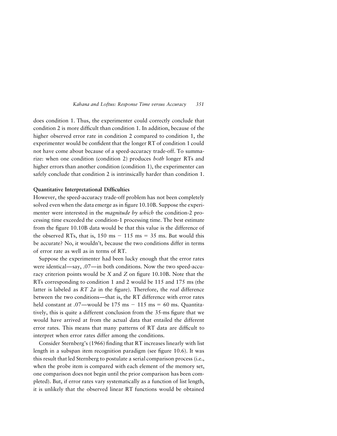does condition 1. Thus, the experimenter could correctly conclude that condition 2 is more difficult than condition 1. In addition, because of the higher observed error rate in condition 2 compared to condition 1, the experimenter would be confident that the longer RT of condition 1 could not have come about because of a speed-accuracy trade-off. To summarize: when one condition (condition 2) produces *both* longer RTs and higher errors than another condition (condition 1), the experimenter can safely conclude that condition 2 is intrinsically harder than condition 1.

# **Quantitative Interpretational Difficulties**

However, the speed-accuracy trade-off problem has not been completely solved even when the data emerge as in figure 10.10B. Suppose the experimenter were interested in the *magnitude by which* the condition-2 processing time exceeded the condition-1 processing time. The best estimate from the figure 10.10B data would be that this value is the difference of the observed RTs, that is,  $150 \text{ ms} - 115 \text{ ms} = 35 \text{ ms}$ . But would this be accurate? No, it wouldn't, because the two conditions differ in terms of error rate as well as in terms of RT.

Suppose the experimenter had been lucky enough that the error rates were identical—say, .07—in both conditions. Now the two speed-accuracy criterion points would be *X* and *Z* on figure 10.10B. Note that the RTs corresponding to condition 1 and 2 would be 115 and 175 ms (the latter is labeled as *RT 2a* in the figure). Therefore, the *real* difference between the two conditions—that is, the RT difference with error rates held constant at .07—would be 175 ms  $-$  115 ms  $= 60$  ms. Quantitatively, this is quite a different conclusion from the 35-ms figure that we would have arrived at from the actual data that entailed the different error rates. This means that many patterns of RT data are difficult to interpret when error rates differ among the conditions.

Consider Sternberg's (1966) finding that RT increases linearly with list length in a subspan item recognition paradigm (see figure 10.6). It was this result that led Sternberg to postulate a serial comparison process (i.e., when the probe item is compared with each element of the memory set, one comparison does not begin until the prior comparison has been completed). But, if error rates vary systematically as a function of list length, it is unlikely that the observed linear RT functions would be obtained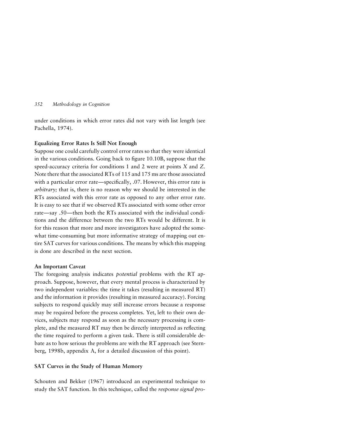under conditions in which error rates did not vary with list length (see Pachella, 1974).

# **Equalizing Error Rates Is Still Not Enough**

Suppose one could carefully control error rates so that they were identical in the various conditions. Going back to figure 10.10B, suppose that the speed-accuracy criteria for conditions 1 and 2 were at points *X* and *Z.* Note there that the associated RTs of 115 and 175 ms are those associated with a particular error rate—specifically, .07. However, this error rate is *arbitrary;* that is, there is no reason why we should be interested in the RTs associated with this error rate as opposed to any other error rate. It is easy to see that if we observed RTs associated with some other error rate—say .50—then both the RTs associated with the individual conditions and the difference between the two RTs would be different. It is for this reason that more and more investigators have adopted the somewhat time-consuming but more informative strategy of mapping out entire SAT curves for various conditions. The means by which this mapping is done are described in the next section.

# **An Important Caveat**

The foregoing analysis indicates *potential* problems with the RT approach. Suppose, however, that every mental process is characterized by two independent variables: the time it takes (resulting in measured RT) and the information it provides (resulting in measured accuracy). Forcing subjects to respond quickly may still increase errors because a response may be required before the process completes. Yet, left to their own devices, subjects may respond as soon as the necessary processing is complete, and the measured RT may then be directly interpreted as reflecting the time required to perform a given task. There is still considerable debate as to how serious the problems are with the RT approach (see Sternberg, 1998b, appendix A, for a detailed discussion of this point).

# **SAT Curves in the Study of Human Memory**

Schouten and Bekker (1967) introduced an experimental technique to study the SAT function. In this technique, called the *response signal pro-*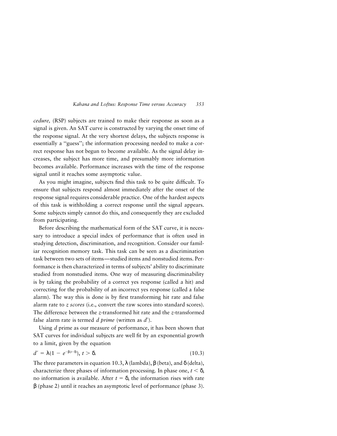*cedure,* (RSP) subjects are trained to make their response as soon as a signal is given. An SAT curve is constructed by varying the onset time of the response signal. At the very shortest delays, the subjects response is essentially a ''guess''; the information processing needed to make a correct response has not begun to become available. As the signal delay increases, the subject has more time, and presumably more information becomes available. Performance increases with the time of the response signal until it reaches some asymptotic value.

As you might imagine, subjects find this task to be quite difficult. To ensure that subjects respond almost immediately after the onset of the response signal requires considerable practice. One of the hardest aspects of this task is withholding a correct response until the signal appears. Some subjects simply cannot do this, and consequently they are excluded from participating.

Before describing the mathematical form of the SAT curve, it is necessary to introduce a special index of performance that is often used in studying detection, discrimination, and recognition. Consider our familiar recognition memory task. This task can be seen as a discrimination task between two sets of items—studied items and nonstudied items. Performance is then characterized in terms of subjects' ability to discriminate studied from nonstudied items. One way of measuring discriminability is by taking the probability of a correct yes response (called a hit) and correcting for the probability of an incorrect yes response (called a false alarm). The way this is done is by first transforming hit rate and false alarm rate to *z scores* (i.e., convert the raw scores into standard scores). The difference between the *z*-transformed hit rate and the *z*-transformed false alarm rate is termed *d prime* (written as *d*′).

Using *d* prime as our measure of performance, it has been shown that SAT curves for individual subjects are well fit by an exponential growth to a limit, given by the equation

$$
d' = \lambda (1 - e^{-\beta(t-\delta)}), t > \delta. \tag{10.3}
$$

The three parameters in equation 10.3,  $\lambda$  (lambda),  $\beta$  (beta), and  $\delta$  (delta), characterize three phases of information processing. In phase one,  $t < \delta$ , no information is available. After  $t = δ$ , the information rises with rate β (phase 2) until it reaches an asymptotic level of performance (phase 3).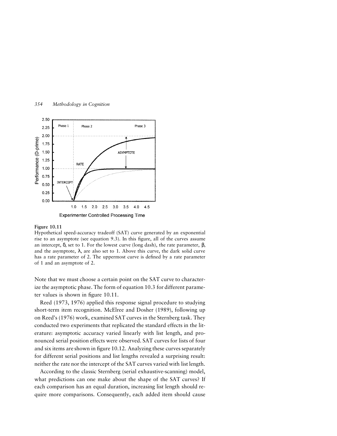



#### **Figure 10.11**

Hypothetical speed-accuracy tradeoff (SAT) curve generated by an exponential rise to an asymptote (see equation 9.3). In this figure, all of the curves assume an intercept, δ, set to 1. For the lowest curve (long dash), the rate parameter, β, and the asymptote,  $\lambda$ , are also set to 1. Above this curve, the dark solid curve has a rate parameter of 2. The uppermost curve is defined by a rate parameter of 1 and an asymptote of 2.

Note that we must choose a certain point on the SAT curve to characterize the asymptotic phase. The form of equation 10.3 for different parameter values is shown in figure 10.11.

Reed (1973, 1976) applied this response signal procedure to studying short-term item recognition. McElree and Dosher (1989), following up on Reed's (1976) work, examined SAT curves in the Sternberg task. They conducted two experiments that replicated the standard effects in the literature: asymptotic accuracy varied linearly with list length, and pronounced serial position effects were observed. SAT curves for lists of four and six items are shown in figure 10.12. Analyzing these curves separately for different serial positions and list lengths revealed a surprising result: neither the rate nor the intercept of the SAT curves varied with list length.

According to the classic Sternberg (serial exhaustive-scanning) model, what predictions can one make about the shape of the SAT curves? If each comparison has an equal duration, increasing list length should require more comparisons. Consequently, each added item should cause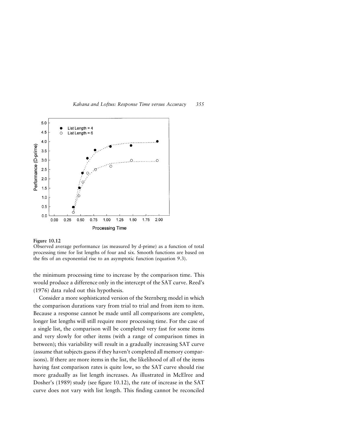



## **Figure 10.12**

Observed average performance (as measured by d-prime) as a function of total processing time for list lengths of four and six. Smooth functions are based on the fits of an exponential rise to an asymptotic function (equation 9.3).

the minimum processing time to increase by the comparison time. This would produce a difference only in the intercept of the SAT curve. Reed's (1976) data ruled out this hypothesis.

Consider a more sophisticated version of the Sternberg model in which the comparison durations vary from trial to trial and from item to item. Because a response cannot be made until all comparisons are complete, longer list lengths will still require more processing time. For the case of a single list, the comparison will be completed very fast for some items and very slowly for other items (with a range of comparison times in between); this variability will result in a gradually increasing SAT curve (assume that subjects guess if they haven't completed all memory comparisons). If there are more items in the list, the likelihood of all of the items having fast comparison rates is quite low, so the SAT curve should rise more gradually as list length increases. As illustrated in McElree and Dosher's (1989) study (see figure 10.12), the rate of increase in the SAT curve does not vary with list length. This finding cannot be reconciled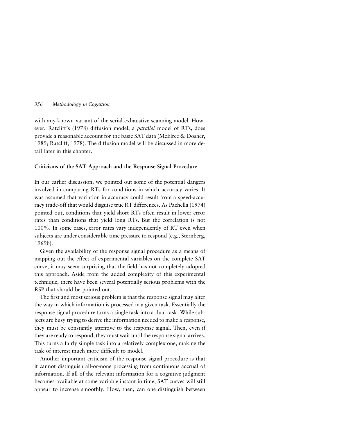with any known variant of the serial exhaustive-scanning model. However, Ratcliff's (1978) diffusion model, a *parallel* model of RTs, does provide a reasonable account for the basic SAT data (McElree & Dosher, 1989; Ratcliff, 1978). The diffusion model will be discussed in more detail later in this chapter.

# **Criticisms of the SAT Approach and the Response Signal Procedure**

In our earlier discussion, we pointed out some of the potential dangers involved in comparing RTs for conditions in which accuracy varies. It was assumed that variation in accuracy could result from a speed-accuracy trade-off that would disguise true RT differences. As Pachella (1974) pointed out, conditions that yield short RTs often result in lower error rates than conditions that yield long RTs. But the correlation is not 100%. In some cases, error rates vary independently of RT even when subjects are under considerable time pressure to respond (e.g., Sternberg, 1969b).

Given the availability of the response signal procedure as a means of mapping out the effect of experimental variables on the complete SAT curve, it may seem surprising that the field has not completely adopted this approach. Aside from the added complexity of this experimental technique, there have been several potentially serious problems with the RSP that should be pointed out.

The first and most serious problem is that the response signal may alter the way in which information is processed in a given task. Essentially the response signal procedure turns a single task into a dual task. While subjects are busy trying to derive the information needed to make a response, they must be constantly attentive to the response signal. Then, even if they are ready to respond, they must wait until the response signal arrives. This turns a fairly simple task into a relatively complex one, making the task of interest much more difficult to model.

Another important criticism of the response signal procedure is that it cannot distinguish all-or-none processing from continuous accrual of information. If all of the relevant information for a cognitive judgment becomes available at some variable instant in time, SAT curves will still appear to increase smoothly. How, then, can one distinguish between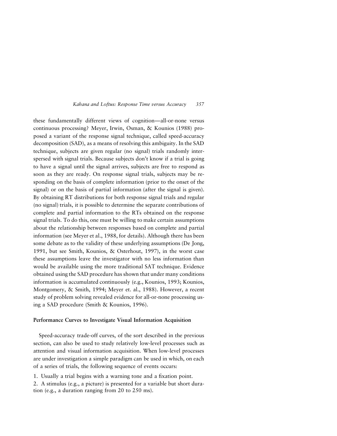these fundamentally different views of cognition—all-or-none versus continuous processing? Meyer, Irwin, Osman, & Kounios (1988) proposed a variant of the response signal technique, called speed-accuracy decomposition (SAD), as a means of resolving this ambiguity. In the SAD technique, subjects are given regular (no signal) trials randomly interspersed with signal trials. Because subjects don't know if a trial is going to have a signal until the signal arrives, subjects are free to respond as soon as they are ready. On response signal trials, subjects may be responding on the basis of complete information (prior to the onset of the signal) or on the basis of partial information (after the signal is given). By obtaining RT distributions for both response signal trials and regular (no signal) trials, it is possible to determine the separate contributions of complete and partial information to the RTs obtained on the response signal trials. To do this, one must be willing to make certain assumptions about the relationship between responses based on complete and partial information (see Meyer et al., 1988, for details). Although there has been some debate as to the validity of these underlying assumptions (De Jong, 1991, but see Smith, Kounios, & Osterhout, 1997), in the worst case these assumptions leave the investigator with no less information than would be available using the more traditional SAT technique. Evidence obtained using the SAD procedure has shown that under many conditions information is accumulated continuously (e.g., Kounios, 1993; Kounios, Montgomery, & Smith, 1994; Meyer et. al., 1988). However, a recent study of problem solving revealed evidence for all-or-none processing using a SAD procedure (Smith & Kounios, 1996).

# **Performance Curves to Investigate Visual Information Acquisition**

Speed-accuracy trade-off curves, of the sort described in the previous section, can also be used to study relatively low-level processes such as attention and visual information acquisition. When low-level processes are under investigation a simple paradigm can be used in which, on each of a series of trials, the following sequence of events occurs:

1. Usually a trial begins with a warning tone and a fixation point.

2. A stimulus (e.g., a picture) is presented for a variable but short duration (e.g., a duration ranging from 20 to 250 ms).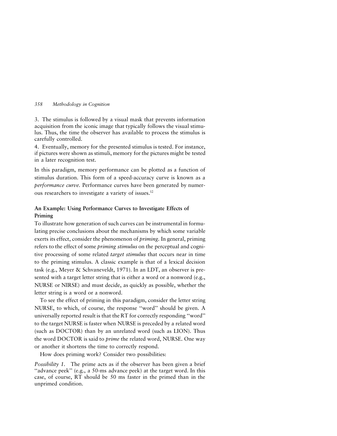3. The stimulus is followed by a visual mask that prevents information acquisition from the iconic image that typically follows the visual stimulus. Thus, the time the observer has available to process the stimulus is carefully controlled.

4. Eventually, memory for the presented stimulus is tested. For instance, if pictures were shown as stimuli, memory for the pictures might be tested in a later recognition test.

In this paradigm, memory performance can be plotted as a function of stimulus duration. This form of a speed-accuracy curve is known as a *performance curve.* Performance curves have been generated by numerous researchers to investigate a variety of issues.<sup>12</sup>

# **An Example: Using Performance Curves to Investigate Effects of Priming**

To illustrate how generation of such curves can be instrumental in formulating precise conclusions about the mechanisms by which some variable exerts its effect, consider the phenomenon of *priming.* In general, priming refers to the effect of some *priming stimulus* on the perceptual and cognitive processing of some related *target stimulus* that occurs near in time to the priming stimulus. A classic example is that of a lexical decision task (e.g., Meyer & Schvaneveldt, 1971). In an LDT, an observer is presented with a target letter string that is either a word or a nonword (e.g., NURSE or NIRSE) and must decide, as quickly as possible, whether the letter string is a word or a nonword.

To see the effect of priming in this paradigm, consider the letter string NURSE, to which, of course, the response ''word'' should be given. A universally reported result is that the RT for correctly responding ''word'' to the target NURSE is faster when NURSE is preceded by a related word (such as DOCTOR) than by an unrelated word (such as LION). Thus the word DOCTOR is said to *prime* the related word, NURSE. One way or another it shortens the time to correctly respond.

How does priming work? Consider two possibilities:

*Possibility 1.* The prime acts as if the observer has been given a brief "advance peek" (e.g., a 50-ms advance peek) at the target word. In this case, of course, RT should be 50 ms faster in the primed than in the unprimed condition.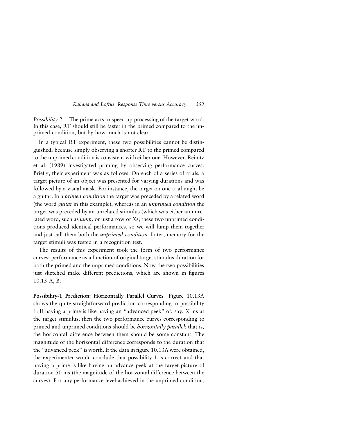*Possibility 2.* The prime acts to speed up processing of the target word. In this case, RT should still be faster in the primed compared to the unprimed condition, but by how much is not clear.

In a typical RT experiment, these two possibilities cannot be distinguished, because simply observing a shorter RT to the primed compared to the unprimed condition is consistent with either one. However, Reinitz et al. (1989) investigated priming by observing performance curves. Briefly, their experiment was as follows. On each of a series of trials, a target picture of an object was presented for varying durations and was followed by a visual mask. For instance, the target on one trial might be a guitar. In a *primed condition* the target was preceded by a related word (the word *guitar* in this example), whereas in an *unprimed condition* the target was preceded by an unrelated stimulus (which was either an unrelated word, such as *lamp,* or just a row of *X*s; these two unprimed conditions produced identical performances, so we will lump them together and just call them both the *unprimed condition.* Later, memory for the target stimuli was tested in a recognition test.

The results of this experiment took the form of two performance curves: performance as a function of original target stimulus duration for both the primed and the unprimed conditions. Now the two possibilities just sketched make different predictions, which are shown in figures 10.13 A, B.

**Possibility-1 Prediction: Horizontally Parallel Curves** Figure 10.13A shows the quite straightforward prediction corresponding to possibility 1: If having a prime is like having an ''advanced peek'' of, say, *X* ms at the target stimulus, then the two performance curves corresponding to primed and unprimed conditions should be *horizontally parallel;* that is, the horizontal difference between them should be some constant. The magnitude of the horizontal difference corresponds to the duration that the ''advanced peek'' is worth. If the data in figure 10.13A were obtained, the experimenter would conclude that possibility 1 is correct and that having a prime is like having an advance peek at the target picture of duration 50 ms (the magnitude of the horizontal difference between the curves). For any performance level achieved in the unprimed condition,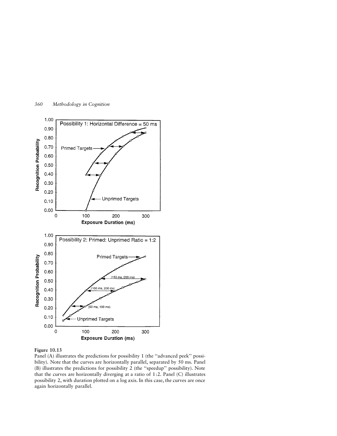



## **Figure 10.13**

Panel (A) illustrates the predictions for possibility 1 (the ''advanced peek'' possibility). Note that the curves are horizontally parallel, separated by 50 ms. Panel (B) illustrates the predictions for possibility 2 (the ''speedup'' possibility). Note that the curves are horizontally diverging at a ratio of 1:2. Panel (C) illustrates possibility 2, with duration plotted on a log axis. In this case, the curves are once again horizontally parallel.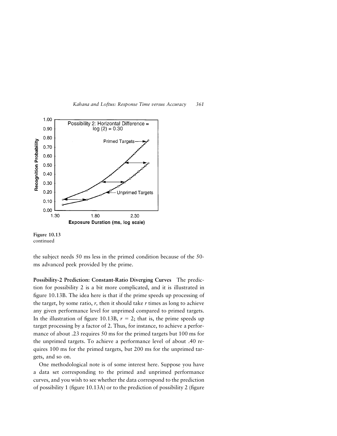





the subject needs 50 ms less in the primed condition because of the 50 ms advanced peek provided by the prime.

**Possibility-2 Prediction: Constant-Ratio Diverging Curves** The prediction for possibility 2 is a bit more complicated, and it is illustrated in figure 10.13B. The idea here is that if the prime speeds up processing of the target, by some ratio, *r,* then it should take *r* times as long to achieve any given performance level for unprimed compared to primed targets. In the illustration of figure 10.13B,  $r = 2$ ; that is, the prime speeds up target processing by a factor of 2. Thus, for instance, to achieve a performance of about .23 requires 50 ms for the primed targets but 100 ms for the unprimed targets. To achieve a performance level of about .40 requires 100 ms for the primed targets, but 200 ms for the unprimed targets, and so on.

One methodological note is of some interest here. Suppose you have a data set corresponding to the primed and unprimed performance curves, and you wish to see whether the data correspond to the prediction of possibility 1 (figure 10.13A) or to the prediction of possibility 2 (figure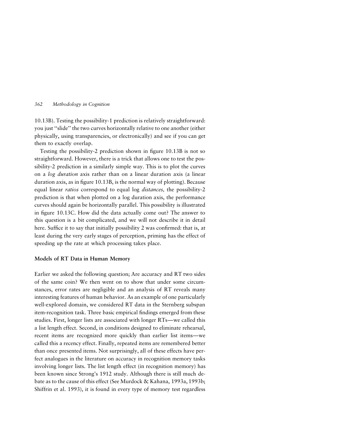10.13B). Testing the possibility-1 prediction is relatively straightforward: you just ''slide'' the two curves horizontally relative to one another (either physically, using transparencies, or electronically) and see if you can get them to exactly overlap.

Testing the possibility-2 prediction shown in figure 10.13B is not so straightforward. However, there is a trick that allows one to test the possibility-2 prediction in a similarly simple way. This is to plot the curves on a *log duration* axis rather than on a linear duration axis (a linear duration axis, as in figure 10.13B, is the normal way of plotting). Because equal linear *ratios* correspond to equal log *distances,* the possibility-2 prediction is that when plotted on a log duration axis, the performance curves should again be horizontally parallel. This possibility is illustrated in figure 10.13C. How did the data actually come out? The answer to this question is a bit complicated, and we will not describe it in detail here. Suffice it to say that initially possibility 2 was confirmed: that is, at least during the very early stages of perception, priming has the effect of speeding up the rate at which processing takes place.

# **Models of RT Data in Human Memory**

Earlier we asked the following question; Are accuracy and RT two sides of the same coin? We then went on to show that under some circumstances, error rates are negligible and an analysis of RT reveals many interesting features of human behavior. As an example of one particularly well-explored domain, we considered RT data in the Sternberg subspan item-recognition task. Three basic empirical findings emerged from these studies. First, longer lists are associated with longer RTs—we called this a list length effect. Second, in conditions designed to eliminate rehearsal, recent items are recognized more quickly than earlier list items—we called this a recency effect. Finally, repeated items are remembered better than once presented items. Not surprisingly, all of these effects have perfect analogues in the literature on accuracy in recognition memory tasks involving longer lists. The list length effect (in recognition memory) has been known since Strong's 1912 study. Although there is still much debate as to the cause of this effect (See Murdock & Kahana, 1993a, 1993b; Shiffrin et al. 1993), it is found in every type of memory test regardless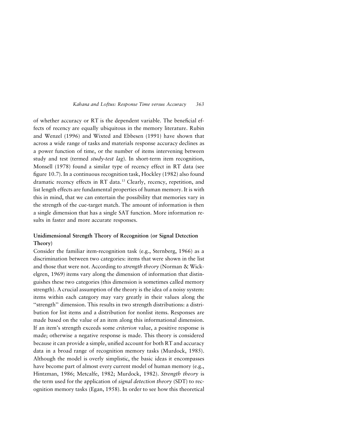of whether accuracy or RT is the dependent variable. The beneficial effects of recency are equally ubiquitous in the memory literature. Rubin and Wenzel (1996) and Wixted and Ebbesen (1991) have shown that across a wide range of tasks and materials response accuracy declines as a power function of time, or the number of items intervening between study and test (termed *study-test lag*). In short-term item recognition, Monsell (1978) found a similar type of recency effect in RT data (see figure 10.7). In a continuous recognition task, Hockley (1982) also found dramatic recency effects in RT data.13 Clearly, recency, repetition, and list length effects are fundamental properties of human memory. It is with this in mind, that we can entertain the possibility that memories vary in the strength of the cue-target match. The amount of information is then a single dimension that has a single SAT function. More information results in faster and more accurate responses.

# **Unidimensional Strength Theory of Recognition (or Signal Detection Theory)**

Consider the familiar item-recognition task (e.g., Sternberg, 1966) as a discrimination between two categories: items that were shown in the list and those that were not. According to *strength theory* (Norman & Wickelgren, 1969) items vary along the dimension of information that distinguishes these two categories (this dimension is sometimes called memory strength). A crucial assumption of the theory is the idea of a noisy system: items within each category may vary greatly in their values along the ''strength'' dimension. This results in two strength distributions: a distribution for list items and a distribution for nonlist items. Responses are made based on the value of an item along this informational dimension. If an item's strength exceeds some *criterion* value, a positive response is made; otherwise a negative response is made. This theory is considered because it can provide a simple, unified account for both RT and accuracy data in a broad range of recognition memory tasks (Murdock, 1985). Although the model is overly simplistic, the basic ideas it encompasses have become part of almost every current model of human memory (e.g., Hintzman, 1986; Metcalfe, 1982; Murdock, 1982). *Strength theory* is the term used for the application of *signal detection theory* (SDT) to recognition memory tasks (Egan, 1958). In order to see how this theoretical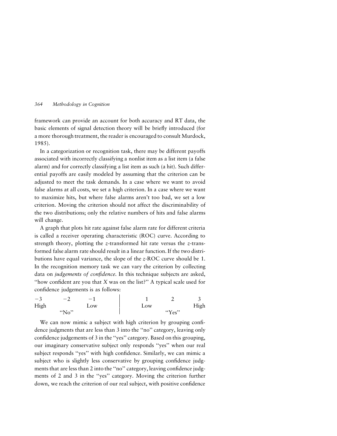framework can provide an account for both accuracy and RT data, the basic elements of signal detection theory will be briefly introduced (for a more thorough treatment, the reader is encouraged to consult Murdock, 1985).

In a categorization or recognition task, there may be different payoffs associated with incorrectly classifying a nonlist item as a list item (a false alarm) and for correctly classifying a list item as such (a hit). Such differential payoffs are easily modeled by assuming that the criterion can be adjusted to meet the task demands. In a case where we want to avoid false alarms at all costs, we set a high criterion. In a case where we want to maximize hits, but where false alarms aren't too bad, we set a low criterion. Moving the criterion should not affect the discriminability of the two distributions; only the relative numbers of hits and false alarms will change.

A graph that plots hit rate against false alarm rate for different criteria is called a receiver operating characteristic (ROC) curve. According to strength theory, plotting the *z*-transformed hit rate versus the *z*-transformed false alarm rate should result in a linear function. If the two distributions have equal variance, the slope of the *z*-ROC curve should be 1. In the recognition memory task we can vary the criterion by collecting data on *judgements of confidence.* In this technique subjects are asked, ''how confident are you that *X* was on the list?'' A typical scale used for confidence judgements is as follows:

$$
\begin{array}{ccc}\n-3 & -2 & -1 \\
\end{array}\n\text{Low} \qquad\n\begin{array}{ccc}\n1 & 2 & 3 \\
\end{array}\n\text{High} \qquad\n\begin{array}{ccc}\n\text{1} & 2 & 3 \\
\end{array}
$$

We can now mimic a subject with high criterion by grouping confidence judgments that are less than 3 into the ''no'' category, leaving only confidence judgements of 3 in the ''yes'' category. Based on this grouping, our imaginary conservative subject only responds ''yes'' when our real subject responds ''yes'' with high confidence. Similarly, we can mimic a subject who is slightly less conservative by grouping confidence judgments that are less than 2 into the ''no'' category, leaving confidence judgments of 2 and 3 in the ''yes'' category. Moving the criterion further down, we reach the criterion of our real subject, with positive confidence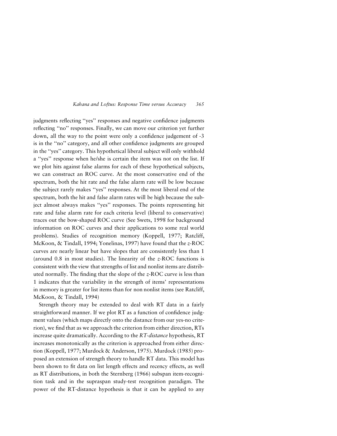judgments reflecting ''yes'' responses and negative confidence judgments reflecting ''no'' responses. Finally, we can move our criterion yet further down, all the way to the point were only a confidence judgement of -3 is in the ''no'' category, and all other confidence judgments are grouped in the ''yes'' category. This hypothetical liberal subject will only withhold a ''yes'' response when he/she is certain the item was not on the list. If we plot hits against false alarms for each of these hypothetical subjects, we can construct an ROC curve. At the most conservative end of the spectrum, both the hit rate and the false alarm rate will be low because the subject rarely makes ''yes'' responses. At the most liberal end of the spectrum, both the hit and false alarm rates will be high because the subject almost always makes ''yes'' responses. The points representing hit rate and false alarm rate for each criteria level (liberal to conservative) traces out the bow-shaped ROC curve (See Swets, 1998 for background information on ROC curves and their applications to some real world problems). Studies of recognition memory (Koppell, 1977; Ratcliff, McKoon, & Tindall, 1994; Yonelinas, 1997) have found that the *z*-ROC curves are nearly linear but have slopes that are consistently less than 1 (around 0.8 in most studies). The linearity of the *z*-ROC functions is consistent with the view that strengths of list and nonlist items are distributed normally. The finding that the slope of the *z*-ROC curve is less than 1 indicates that the variability in the strength of items' representations in memory is greater for list items than for non nonlist items (see Ratcliff, McKoon, & Tindall, 1994)

Strength theory may be extended to deal with RT data in a fairly straightforward manner. If we plot RT as a function of confidence judgment values (which maps directly onto the distance from our yes-no criterion), we find that as we approach the criterion from either direction, RTs increase quite dramatically. According to the *RT-distance* hypothesis, RT increases monotonically as the criterion is approached from either direction (Koppell, 1977; Murdock & Anderson, 1975). Murdock (1985) proposed an extension of strength theory to handle RT data. This model has been shown to fit data on list length effects and recency effects, as well as RT distributions, in both the Sternberg (1966) subspan item-recognition task and in the supraspan study-test recognition paradigm. The power of the RT-distance hypothesis is that it can be applied to any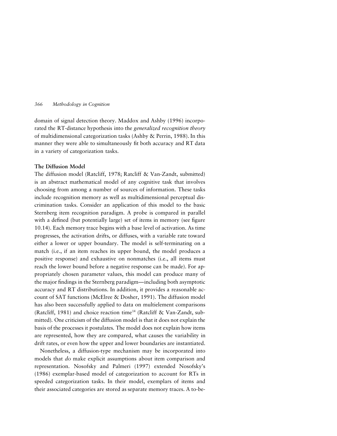domain of signal detection theory. Maddox and Ashby (1996) incorporated the RT-distance hypothesis into the *generalized recognition theory* of multidimensional categorization tasks (Ashby & Perrin, 1988). In this manner they were able to simultaneously fit both accuracy and RT data in a variety of categorization tasks.

# **The Diffusion Model**

The diffusion model (Ratcliff, 1978; Ratcliff & Van-Zandt, submitted) is an abstract mathematical model of any cognitive task that involves choosing from among a number of sources of information. These tasks include recognition memory as well as multidimensional perceptual discrimination tasks. Consider an application of this model to the basic Sternberg item recognition paradigm. A probe is compared in parallel with a defined (but potentially large) set of items in memory (see figure 10.14). Each memory trace begins with a base level of activation. As time progresses, the activation drifts, or diffuses, with a variable rate toward either a lower or upper boundary. The model is self-terminating on a match (i.e., if an item reaches its upper bound, the model produces a positive response) and exhaustive on nonmatches (i.e., all items must reach the lower bound before a negative response can be made). For appropriately chosen parameter values, this model can produce many of the major findings in the Sternberg paradigm—including both asymptotic accuracy and RT distributions. In addition, it provides a reasonable account of SAT functions (McElree & Dosher, 1991). The diffusion model has also been successfully applied to data on multielement comparisons (Ratcliff, 1981) and choice reaction time<sup>14</sup> (Ratcliff & Van-Zandt, submitted). One criticism of the diffusion model is that it does not explain the basis of the processes it postulates. The model does not explain how items are represented, how they are compared, what causes the variability in drift rates, or even how the upper and lower boundaries are instantiated.

Nonetheless, a diffusion-type mechanism may be incorporated into models that *do* make explicit assumptions about item comparison and representation. Nosofsky and Palmeri (1997) extended Nosofsky's (1986) exemplar-based model of categorization to account for RTs in speeded categorization tasks. In their model, exemplars of items and their associated categories are stored as separate memory traces. A to-be-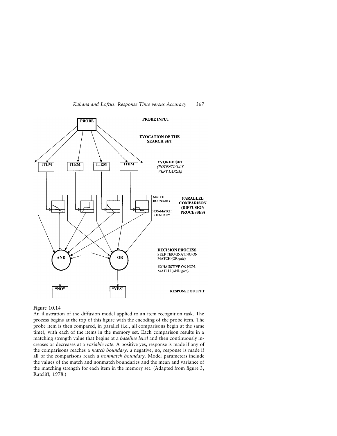

#### **Figure 10.14**

An illustration of the diffusion model applied to an item recognition task. The process begins at the top of this figure with the encoding of the probe item. The probe item is then compared, in parallel (i.e., all comparisons begin at the same time), with each of the items in the memory set. Each comparison results in a matching strength value that begins at a *baseline level* and then continuously increases or decreases at a *variable rate.* A positive yes, response is made if any of the comparisons reaches a *match boundary;* a negative, no, response is made if all of the comparisons reach a *nonmatch boundary.* Model parameters include the values of the match and nonmatch boundaries and the mean and variance of the matching strength for each item in the memory set. (Adapted from figure 3, Ratcliff, 1978.)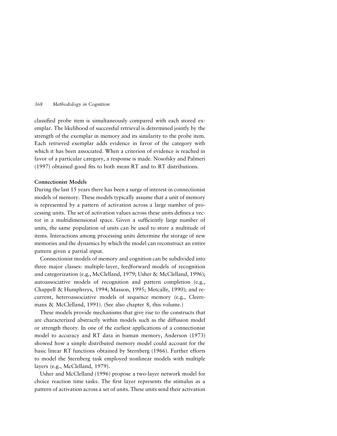classified probe item is simultaneously compared with each stored exemplar. The likelihood of successful retrieval is determined jointly by the strength of the exemplar in memory and its similarity to the probe item. Each retrieved exemplar adds evidence in favor of the category with which it has been associated. When a criterion of evidence is reached in favor of a particular category, a response is made. Nosofsky and Palmeri (1997) obtained good fits to both mean RT and to RT distributions.

# **Connectionist Models**

During the last 15 years there has been a surge of interest in connectionist models of memory. These models typically assume that a unit of memory is represented by a pattern of activation across a large number of processing units. The set of activation values across these units defines a vector in a multidimensional space. Given a sufficiently large number of units, the same population of units can be used to store a multitude of items. Interactions among processing units determine the storage of new memories and the dynamics by which the model can reconstruct an entire pattern given a partial input.

Connectionist models of memory and cognition can be subdivided into three major classes: multiple-layer, feedforward models of recognition and categorization (e.g., McClelland, 1979; Usher & McClelland, 1996); autoassociative models of recognition and pattern completion (e.g., Chappell & Humphreys, 1994; Masson, 1995; Metcalfe, 1990); and recurrent, heteroassociative models of sequence memory (e.g., Cleeremans & McClelland, 1991). (See also chapter 8, this volume.)

These models provide mechanisms that give rise to the constructs that are characterized abstractly within models such as the diffusion model or strength theory. In one of the earliest applications of a connectionist model to accuracy and RT data in human memory, Anderson (1973) showed how a simple distributed memory model could account for the basic linear RT functions obtained by Sternberg (1966). Further efforts to model the Sternberg task employed nonlinear models with multiple layers (e.g., McClelland, 1979).

Usher and McClelland (1996) propose a two-layer network model for choice reaction time tasks. The first layer represents the stimulus as a pattern of activation across a set of units. These units send their activation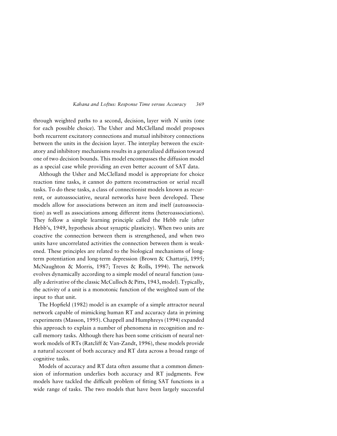through weighted paths to a second, decision, layer with *N* units (one for each possible choice). The Usher and McClelland model proposes both recurrent excitatory connections and mutual inhibitory connections between the units in the decision layer. The interplay between the excitatory and inhibitory mechanisms results in a generalized diffusion toward one of two decision bounds. This model encompasses the diffusion model as a special case while providing an even better account of SAT data.

Although the Usher and McClelland model is appropriate for choice reaction time tasks, it cannot do pattern reconstruction or serial recall tasks. To do these tasks, a class of connectionist models known as recurrent, or autoassociative, neural networks have been developed. These models allow for associations between an item and itself (autoassociation) as well as associations among different items (heteroassociations). They follow a simple learning principle called the Hebb rule (after Hebb's, 1949, hypothesis about synaptic plasticity). When two units are coactive the connection between them is strengthened, and when two units have uncorrelated activities the connection between them is weakened. These principles are related to the biological mechanisms of longterm potentiation and long-term depression (Brown & Chattarji, 1995; McNaughton & Morris, 1987; Treves & Rolls, 1994). The network evolves dynamically according to a simple model of neural function (usually a derivative of the classic McCulloch & Pitts, 1943, model). Typically, the activity of a unit is a monotonic function of the weighted sum of the input to that unit.

The Hopfield (1982) model is an example of a simple attractor neural network capable of mimicking human RT and accuracy data in priming experiments (Masson, 1995). Chappell and Humphreys (1994) expanded this approach to explain a number of phenomena in recognition and recall memory tasks. Although there has been some criticism of neural network models of RTs (Ratcliff & Van-Zandt, 1996), these models provide a natural account of both accuracy and RT data across a broad range of cognitive tasks.

Models of accuracy and RT data often assume that a common dimension of information underlies both accuracy and RT judgments. Few models have tackled the difficult problem of fitting SAT functions in a wide range of tasks. The two models that have been largely successful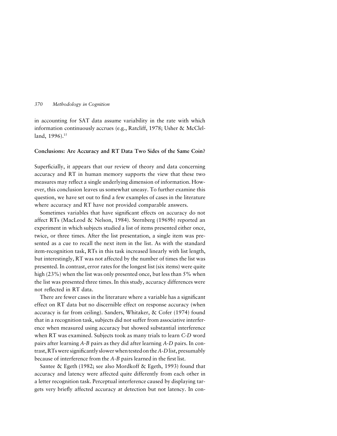in accounting for SAT data assume variability in the rate with which information continuously accrues (e.g., Ratcliff, 1978; Usher & McClelland, 1996).<sup>15</sup>

# **Conclusions: Are Accuracy and RT Data Two Sides of the Same Coin?**

Superficially, it appears that our review of theory and data concerning accuracy and RT in human memory supports the view that these two measures may reflect a single underlying dimension of information. However, this conclusion leaves us somewhat uneasy. To further examine this question, we have set out to find a few examples of cases in the literature where accuracy and RT have not provided comparable answers.

Sometimes variables that have significant effects on accuracy do not affect RTs (MacLeod & Nelson, 1984). Sternberg (1969b) reported an experiment in which subjects studied a list of items presented either once, twice, or three times. After the list presentation, a single item was presented as a cue to recall the next item in the list. As with the standard item-recognition task, RTs in this task increased linearly with list length, but interestingly, RT was not affected by the number of times the list was presented. In contrast, error rates for the longest list (six items) were quite high (23%) when the list was only presented once, but less than 5% when the list was presented three times. In this study, accuracy differences were not reflected in RT data.

There are fewer cases in the literature where a variable has a significant effect on RT data but no discernible effect on response accuracy (when accuracy is far from ceiling). Sanders, Whitaker, & Cofer (1974) found that in a recognition task, subjects did not suffer from associative interference when measured using accuracy but showed substantial interference when RT was examined. Subjects took as many trials to learn *C-D* word pairs after learning *A-B* pairs as they did after learning *A-D* pairs. In contrast, RTswere significantlyslowerwhentestedon the*A-D*list, presumably because of interference from the *A-B* pairs learned in the first list.

Santee & Egeth (1982; see also Mordkoff & Egeth, 1993) found that accuracy and latency were affected quite differently from each other in a letter recognition task. Perceptual interference caused by displaying targets very briefly affected accuracy at detection but not latency. In con-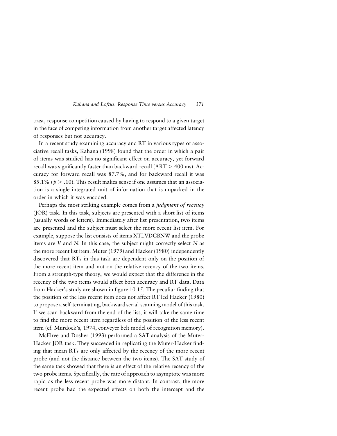trast, response competition caused by having to respond to a given target in the face of competing information from another target affected latency of responses but not accuracy.

In a recent study examining accuracy and RT in various types of associative recall tasks, Kahana (1998) found that the order in which a pair of items was studied has no significant effect on accuracy, yet forward recall was significantly faster than backward recall ( $ART > 400$  ms). Accuracy for forward recall was 87.7%, and for backward recall it was 85.1% ( $p > .10$ ). This result makes sense if one assumes that an association is a single integrated unit of information that is unpacked in the order in which it was encoded.

Perhaps the most striking example comes from a *judgment of recency* (JOR) task. In this task, subjects are presented with a short list of items (usually words or letters). Immediately after list presentation, two items are presented and the subject must select the more recent list item. For example, suppose the list consists of items XTLVDGBNW and the probe items are *V* and *N.* In this case, the subject might correctly select *N* as the more recent list item. Muter (1979) and Hacker (1980) independently discovered that RTs in this task are dependent only on the position of the more recent item and not on the relative recency of the two items. From a strength-type theory, we would expect that the difference in the recency of the two items would affect both accuracy and RT data. Data from Hacker's study are shown in figure 10.15. The peculiar finding that the position of the less recent item does not affect RT led Hacker (1980) to propose a self-terminating, backward serial-scanning model of this task. If we scan backward from the end of the list, it will take the same time to find the more recent item regardless of the position of the less recent item (cf. Murdock's, 1974, conveyer belt model of recognition memory).

McElree and Dosher (1993) performed a SAT analysis of the Muter-Hacker JOR task. They succeeded in replicating the Muter-Hacker finding that mean RTs are only affected by the recency of the more recent probe (and not the distance between the two items). The SAT study of the same task showed that there *is* an effect of the relative recency of the two probe items. Specifically, the rate of approach to asymptote was more rapid as the less recent probe was more distant. In contrast, the more recent probe had the expected effects on both the intercept and the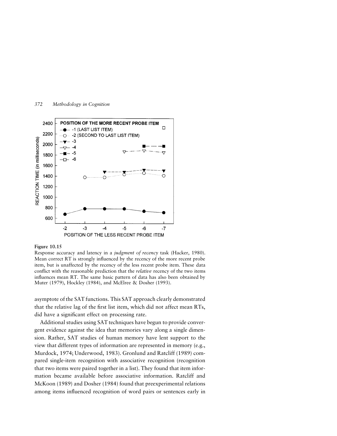



#### **Figure 10.15**

Response accuracy and latency in a *judgment of recency* task (Hacker, 1980). Mean correct RT is strongly influenced by the recency of the more recent probe item, but is unaffected by the recency of the less recent probe item. These data conflict with the reasonable prediction that the *relative* recency of the two items influences mean RT. The same basic pattern of data has also been obtained by Muter (1979), Hockley (1984), and McElree & Dosher (1993).

asymptote of the SAT functions. This SAT approach clearly demonstrated that the relative lag of the first list item, which did not affect mean RTs, did have a significant effect on processing rate.

Additional studies using SAT techniques have begun to provide convergent evidence against the idea that memories vary along a single dimension. Rather, SAT studies of human memory have lent support to the view that different types of information are represented in memory (e.g., Murdock, 1974; Underwood, 1983). Gronlund and Ratcliff (1989) compared single-item recognition with associative recognition (recognition that two items were paired together in a list). They found that item information became available before associative information. Ratcliff and McKoon (1989) and Dosher (1984) found that preexperimental relations among items influenced recognition of word pairs or sentences early in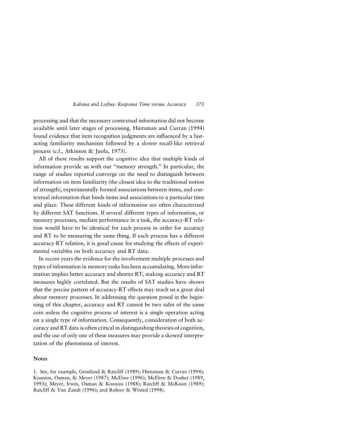processing and that the necessary contextual information did not become available until later stages of processing. Hintzman and Curran (1994) found evidence that item recognition judgments are influenced by a fastacting familiarity mechanism followed by a slower recall-like retrieval process (c.f., Atkinson & Juola, 1973).

All of these results support the cognitive idea that multiple kinds of information provide us with our ''memory strength.'' In particular, the range of studies reported converge on the need to distinguish between information on item familiarity (the closest idea to the traditional notion of strength), experimentally formed associations between items, and contextual information that binds items and associations to a particular time and place. These different kinds of information are often characterized by different SAT functions. If several different types of information, or memory processes, mediate performance in a task, the accuracy-RT relation would have to be identical for each process in order for accuracy and RT to be measuring the same thing. If each process has a different accuracy-RT relation, it is good cause for studying the effects of experimental variables on both accuracy and RT data.

In recent years the evidence for the involvement multiple processes and types of information in memory tasks has been accumulating. More information implies better accuracy and shorter RT, making accuracy and RT measures highly correlated. But the results of SAT studies have shown that the precise pattern of accuracy-RT effects may teach us a great deal about memory processes. In addressing the question posed in the beginning of this chapter, accuracy and RT cannot be two sides of the same coin unless the cognitive process of interest is a single operation acting on a single type of information. Consequently, consideration of both accuracy and RT data is often critical in distinguishing theories of cognition, and the use of only one of these measures may provide a skewed interpretation of the phenomena of interest.

## **Notes**

<sup>1.</sup> See, for example, Gronlund & Ratcliff (1989); Hintzman & Curran (1994); Kounios, Osman, & Meyer (1987); McElree (1996); McElree & Dosher (1989, 1993); Meyer, Irwin, Osman & Kounios (1988); Ratcliff & McKoon (1989); Ratcliff & Van Zandt (1996); and Rohrer & Wixted (1994).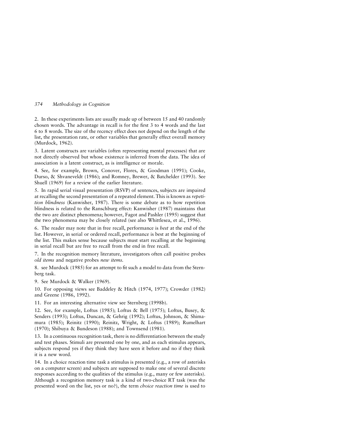2. In these experiments lists are usually made up of between 15 and 40 randomly chosen words. The advantage in recall is for the first 3 to 4 words and the last 6 to 8 words. The size of the recency effect does not depend on the length of the list, the presentation rate, or other variables that generally effect overall memory (Murdock, 1962).

3. Latent constructs are variables (often representing mental processes) that are not directly observed but whose existence is inferred from the data. The idea of association is a latent construct, as is intelligence or morale.

4. See, for example, Brown, Conover, Flores, & Goodman (1991); Cooke, Durso, & Shvaneveldt (1986); and Romney, Brewer, & Batchelder (1993). See Shuell (1969) for a review of the earlier literature.

5. In rapid serial visual presentation (RSVP) of sentences, subjects are impaired at recalling the second presentation of a repeated element. This is known as *repetition blindness* (Kanwisher, 1987). There is some debate as to how repetition blindness is related to the Ranschburg effect: Kanwisher (1987) maintains that the two are distinct phenomena; however, Fagot and Pashler (1995) suggest that the two phenomena may be closely related (see also Whittlesea, et al., 1996).

6. The reader may note that in free recall, performance is *best* at the end of the list. However, in serial or ordered recall, performance is best at the beginning of the list. This makes sense because subjects must start recalling at the beginning in serial recall but are free to recall from the end in free recall.

7. In the recognition memory literature, investigators often call positive probes *old items* and negative probes *new items.*

8. see Murdock (1985) for an attempt to fit such a model to data from the Sternberg task.

9. See Murdock & Walker (1969).

10. For opposing views see Baddeley & Hitch (1974, 1977); Crowder (1982) and Greene (1986, 1992).

11. For an interesting alternative view see Sternberg (1998b).

12. See, for example, Loftus (1985); Loftus & Bell (1975); Loftus, Busey, & Senders (1993); Loftus, Duncan, & Gehrig (1992); Loftus, Johnson, & Shimamura (1985); Reinitz (1990); Reinitz, Wright, & Loftus (1989); Rumelhart (1970); Shibuya & Bundeson (1988); and Townsend (1981).

13. In a continuous recognition task, there is no differentiation between the study and test phases. Stimuli are presented one by one, and as each stimulus appears, subjects respond yes if they think they have seen it before and no if they think it is a new word.

14. In a choice reaction time task a stimulus is presented (e.g., a row of asterisks on a computer screen) and subjects are supposed to make one of several discrete responses according to the qualities of the stimulus (e.g., many or few asterisks). Although a recognition memory task is a kind of two-choice RT task (was the presented word on the list, yes or no?), the term *choice reaction time* is used to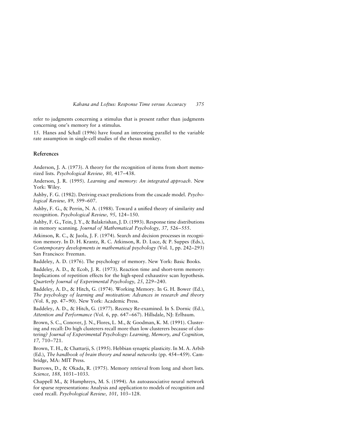refer to judgments concerning a stimulus that is present rather than judgments concerning one's memory for a stimulus.

15. Hanes and Schall (1996) have found an interesting parallel to the variable rate assumption in single-cell studies of the rhesus monkey.

# **References**

Anderson, J. A. (1973). A theory for the recognition of items from short memorized lists. *Psychological Review, 80,* 417–438.

Anderson, J. R. (1995). *Learning and memory: An integrated approach.* New York: Wiley.

Ashby, F. G. (1982). Deriving exact predictions from the cascade model. *Psychological Review, 89,* 599–607.

Ashby, F. G., & Perrin, N. A. (1988). Toward a unified theory of similarity and recognition. *Psychological Review, 95,* 124–150.

Ashby, F. G., Tein, J. Y., & Balakrishan, J. D. (1993). Response time distributions in memory scanning. *Journal of Mathematical Psychology, 37,* 526–555.

Atkinson, R. C., & Juola, J. F. (1974). Search and decision processes in recognition memory. In D. H. Krantz, R. C. Atkinson, R. D. Luce, & P. Suppes (Eds.), *Contemporary developments in mathematical psychology* (Vol. 1, pp. 242–293) San Francisco: Freeman.

Baddeley, A. D. (1976). The psychology of memory. New York: Basic Books.

Baddeley, A. D., & Ecob, J. R. (1973). Reaction time and short-term memory: Implications of repetition effects for the high-speed exhaustive scan hypothesis. *Quarterly Journal of Experimental Psychology, 25,* 229–240.

Baddeley, A. D., & Hitch, G. (1974). Working Memory. In G. H. Bower (Ed.), *The psychology of learning and motivation: Advances in research and theory* (Vol. 8, pp. 47–90). New York: Academic Press.

Baddeley, A. D., & Hitch, G. (1977). Recency Re-examined. In S. Dornic (Ed.), *Attention and Performance* (Vol. 6, pp. 647–667). Hillsdale, NJ: Erlbaum.

Brown, S. C., Conover, J. N., Flores, L. M., & Goodman, K. M. (1991). Clustering and recall: Do high clusterers recall more than low clusterers because of clustering? *Journal of Experimental Psychology: Learning, Memory, and Cognition, 17,* 710–721.

Brown, T. H., & Chattarji, S. (1995). Hebbian synaptic plasticity. In M. A. Arbib (Ed.), *The handbook of brain theory and neural networks* (pp. 454–459). Cambridge, MA: MIT Press.

Burrows, D., & Okada, R. (1975). Memory retrieval from long and short lists. *Science, 188,* 1031–1033.

Chappell M., & Humphreys, M. S. (1994). An autoassociative neural network for sparse representations: Analysis and application to models of recognition and cued recall. *Psychological Review, 101,* 103–128.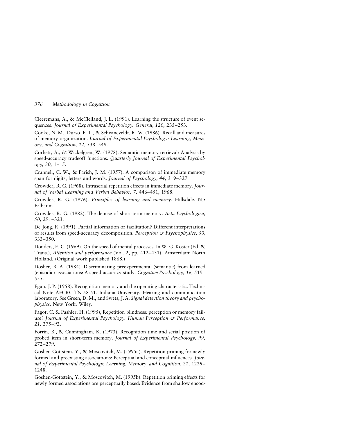Cleeremans, A., & McClelland, J. L. (1991). Learning the structure of event sequences. *Journal of Experimental Psychology: General, 120,* 235–253.

Cooke, N. M., Durso, F. T., & Schvaneveldt, R. W. (1986). Recall and measures of memory organization. *Journal of Experimental Psychology: Learning, Memory, and Cognition, 12,* 538–549.

Corbett, A., & Wickelgren, W. (1978). Semantic memory retrieval: Analysis by speed-accuracy tradeoff functions. *Quarterly Journal of Experimental Psychology, 30,* 1–15.

Crannell, C. W., & Parish, J. M. (1957). A comparison of immediate memory span for digits, letters and words. *Journal of Psychology, 44,* 319–327.

Crowder, R. G. (1968). Intraserial repetition effects in immediate memory. *Journal of Verbal Learning and Verbal Behavior, 7,* 446–451, 1968.

Crowder, R. G. (1976). *Principles of learning and memory.* Hillsdale, NJ: Erlbaum.

Crowder, R. G. (1982). The demise of short-term memory. *Acta Psychologica, 50,* 291–323.

De Jong, R. (1991). Partial information or facilitation? Different interpretations of results from speed-accuracy decomposition. *Perception & Psychophysics, 50,* 333–350.

Donders, F. C. (1969). On the speed of mental processes. In W. G. Koster (Ed. & Trans.), *Attention and performance* (Vol. 2, pp. 412–431). Amsterdam: North Holland. (Original work published 1868.)

Dosher, B. A. (1984). Discriminating preexperimental (semantic) from learned (episodic) associations: A speed-accuracy study. *Cognitive Psychology, 16,* 519– 555.

Egan, J. P. (1958). Recognition memory and the operating characteristic. Technical Note AFCRC-TN-58-51. Indiana University, Hearing and communication laboratory. See Green, D. M., and Swets, J. A. *Signal detection theory and psychophysics.* New York: Wiley.

Fagot, C. & Pashler, H. (1995), Repetition blindness: perception or memory failure? *Journal of Experimental Psychology: Human Perception & Performance, 21,* 275–92.

Forrin, B., & Cunningham, K. (1973). Recognition time and serial position of probed item in short-term memory. *Journal of Experimental Psychology, 99,* 272–279.

Goshen-Gottstein, Y., & Moscovitch, M. (1995a). Repetition priming for newly formed and preexisting associations: Perceptual and conceptual influences. *Journal of Experimental Psychology: Learning, Memory, and Cognition, 21,* 1229– 1248.

Goshen-Gottstein, Y., & Moscovitch, M. (1995b). Repetition priming effects for newly formed associations are perceptually based: Evidence from shallow encod-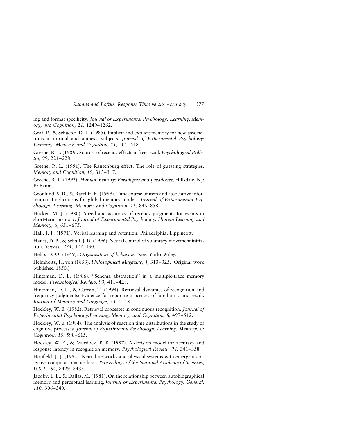ing and format specificity. *Journal of Experimental Psychology: Learning, Memory, and Cognition, 21,* 1249–1262.

Graf, P., & Schacter, D. L. (1985). Implicit and explicit memory for new associations in normal and amnesic subjects. *Journal of Experimental Psychology: Learning, Memory, and Cognition, 11,* 501–518.

Greene, R. L. (1986). Sources of recency effects in free recall. *Psychological Bulletin, 99,* 221–228.

Greene, R. L. (1991). The Ranschburg effect: The role of guessing strategies. *Memory and Cognition, 19,* 313–317.

Greene, R. L. (1992). *Human memory: Paradigms and paradoxes,* Hillsdale, NJ: Erlbaum.

Gronlund, S. D., & Ratcliff, R. (1989). Time course of item and associative information: Implications for global memory models. *Journal of Experimental Psychology: Learning, Memory, and Cognition, 15,* 846–858.

Hacker, M. J. (1980). Speed and accuracy of recency judgments for events in short-term memory. *Journal of Experimental Psychology: Human Learning and Memory, 6,* 651–675.

Hall, J. F. (1971). Verbal learning and retention. Philadelphia: Lippincott.

Hanes, D. P., & Schall, J. D. (1996). Neural control of voluntary movement initiation. *Science, 274,* 427–430.

Hebb, D. O. (1949). *Organization of behavior.* New York: Wiley.

Helmholtz, H. von (1853). *Philosophical Magazine, 4,* 313–325. (Original work published 1850.)

Hintzman, D. L. (1986). "Schema abstraction" in a multiple-trace memory model. *Psychological Review, 93,* 411–428.

Hintzman, D. L., & Curran, T. (1994). Retrieval dynamics of recognition and frequency judgments: Evidence for separate processes of familiarity and recall. *Journal of Memory and Language, 33,* 1–18.

Hockley, W. E. (1982). Retrieval processes in continuous recognition. *Journal of Experimental Psychology:Learning, Memory, and Cognition, 8,* 497–512.

Hockley, W. E. (1984). The analysis of reaction time distributions in the study of cognitive processes. *Journal of Experimental Psychology: Learning, Memory, & Cognition, 10,* 598–615.

Hockley, W. E., & Murdock, B. B. (1987). A decision model for accuracy and response latency in recognition memory. *Psychological Review, 94,* 341–358.

Hopfield, J. J. (1982). Neural networks and physical systems with emergent collective computational abilities. *Proceedings of the National Academy of Sciences, U.S.A., 84,* 8429–8433.

Jacoby, L. L., & Dallas, M. (1981). On the relationship between autobiographical memory and perceptual learning. *Journal of Experimental Psychology: General, 110,* 306–340.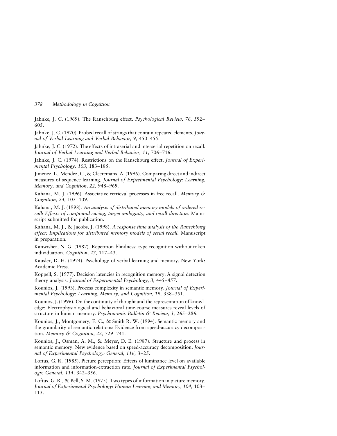Jahnke, J. C. (1969). The Ranschburg effect. *Psychological Review, 76,* 592– 605.

Jahnke, J. C. (1970). Probed recall of strings that contain repeated elements. *Journal of Verbal Learning and Verbal Behavior, 9,* 450–455.

Jahnke, J. C. (1972). The effects of intraserial and interserial repetition on recall. *Journal of Verbal Learning and Verbal Behavior, 11,* 706–716.

Jahnke, J. C. (1974). Restrictions on the Ranschburg effect. *Journal of Experimental Psychology, 103,* 183–185.

Jimenez, L., Mendez, C., & Cleeremans, A. (1996). Comparing direct and indirect measures of sequence learning. *Journal of Experimental Psychology: Learning, Memory, and Cognition, 22,* 948–969.

Kahana, M. J. (1996). Associative retrieval processes in free recall. *Memory & Cognition, 24,* 103–109.

Kahana, M. J. (1998). *An analysis of distributed memory models of ordered recall: Effects of compound cueing, target ambiguity, and recall direction.* Manuscript submitted for publication.

Kahana, M. J., & Jacobs, J. (1998). *A response time analysis of the Ranschburg effect: Implications for distributed memory models of serial recall.* Manuscript in preparation.

Kanwisher, N. G. (1987). Repetition blindness: type recognition without token individuation. *Cognition, 27,* 117–43.

Kausler, D. H. (1974). Psychology of verbal learning and memory. New York: Academic Press.

Koppell, S. (1977). Decision latencies in recognition memory: A signal detection theory analysis. *Journal of Experimental Psychology, 3,* 445–457.

Kounios, J. (1993). Process complexity in semantic memory. *Journal of Experimental Psychology: Learning, Memory, and Cognition, 19,* 338–351.

Kounios, J. (1996). On the continuity of thought and the representation of knowledge: Electrophysiological and behavioral time-course measures reveal levels of structure in human memory. *Psychonomic Bulletin & Review, 3,* 265–286.

Kounios, J., Montgomery, E. C., & Smith R. W. (1994). Semantic memory and the granularity of semantic relations: Evidence from speed-accuracy decomposition. *Memory & Cognition, 22,* 729–741.

Kounios, J., Osman, A. M., & Meyer, D. E. (1987). Structure and process in semantic memory: New evidence based on speed-accuracy decomposition. *Journal of Experimental Psychology: General, 116,* 3–25.

Loftus, G. R. (1985). Picture perception: Effects of luminance level on available information and information-extraction rate. *Journal of Experimental Psychology: General, 114,* 342–356.

Loftus, G. R., & Bell, S. M. (1975). Two types of information in picture memory. *Journal of Experimental Psychology: Human Learning and Memory, 104,* 103– 113.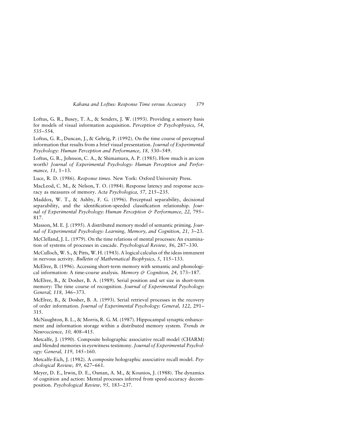Loftus, G. R., Busey, T. A., & Senders, J. W. (1993). Providing a sensory basis for models of visual information acquisition. *Perception & Psychophysics, 54,* 535–554.

Loftus, G. R., Duncan, J., & Gehrig, P. (1992). On the time course of perceptual information that results from a brief visual presentation. *Journal of Experimental Psychology: Human Perception and Performance, 18,* 530–549.

Loftus, G. R., Johnson, C. A., & Shimamura, A. P. (1985). How much is an icon worth? *Journal of Experimental Psychology: Human Perception and Performance, 11,* 1–13.

Luce, R. D. (1986). *Response times.* New York: Oxford University Press.

MacLeod, C. M., & Nelson, T. O. (1984). Response latency and response accuracy as measures of memory. *Acta Psychologica, 57,* 215–235.

Maddox, W. T., & Ashby, F. G. (1996). Perceptual separability, decisional separability, and the identification-speeded classification relationship. *Journal of Experimental Psychology: Human Perception & Performance, 22,* 795– 817.

Masson, M. E. J. (1995). A distributed memory model of semantic priming. *Journal of Experimental Psychology: Learning, Memory, and Cognition, 21,* 3–23.

McClelland, J. L. (1979). On the time relations of mental processes: An examination of systems of processes in cascade. *Psychological Review, 86,* 287–330.

McCulloch, W. S., & Pitts, W. H. (1943). A logical calculus of the ideas immanent in nervous activity. *Bulletin of Mathematical Biophysics, 5,* 115–133.

McElree, B. (1996). Accessing short-term memory with semantic and phonological information: A time-course analysis. *Memory & Cognition, 24,* 173–187.

McElree, B., & Dosher, B. A. (1989). Serial position and set size in short-term memory: The time course of recognition. *Journal of Experimental Psychology: General, 118,* 346–373.

McElree, B., & Dosher, B. A. (1993). Serial retrieval processes in the recovery of order information. *Journal of Experimental Psychology: General, 122,* 291– 315.

McNaughton, B. L., & Morris, R. G. M. (1987). Hippocampal synaptic enhancement and information storage within a distributed memory system. *Trends in Neuroscience, 10,* 408–415.

Metcalfe, J. (1990). Composite holographic associative recall model (CHARM) and blended memories in eyewitness testimony. *Journal of Experimental Psychology: General, 119,* 145–160.

Metcalfe-Eich, J. (1982). A composite holographic associative recall model. *Psychological Review, 89,* 627–661.

Meyer, D. E., Irwin, D. E., Osman, A. M., & Kounios, J. (1988). The dynamics of cognition and action: Mental processes inferred from speed-accuracy decomposition. *Psychological Review, 95,* 183–237.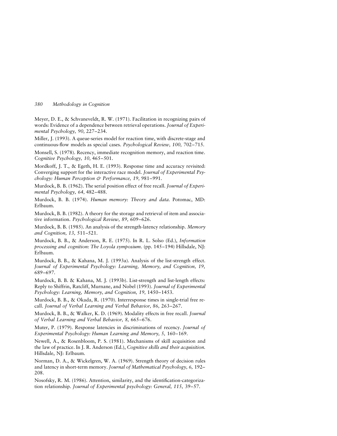Meyer, D. E., & Schvaneveldt, R. W. (1971). Facilitation in recognizing pairs of words: Evidence of a dependence between retrieval operations. *Journal of Experimental Psychology, 90,* 227–234.

Miller, J. (1993). A queue-series model for reaction time, with discrete-stage and continuous-flow models as special cases. *Psychological Review, 100,* 702–715.

Monsell, S. (1978). Recency, immediate recognition memory, and reaction time. *Cognitive Psychology, 10,* 465–501.

Mordkoff, J. T., & Egeth, H. E. (1993). Response time and accuracy revisited: Converging support for the interactive race model. *Journal of Experimental Psychology: Human Perception & Performance, 19,* 981–991.

Murdock, B. B. (1962). The serial position effect of free recall. *Journal of Experimental Psychology, 64,* 482–488.

Murdock, B. B. (1974). *Human memory: Theory and data.* Potomac, MD: Erlbaum.

Murdock, B. B. (1982). A theory for the storage and retrieval of item and associative information. *Psychological Review, 89,* 609–626.

Murdock, B. B. (1985). An analysis of the strength-latency relationship. *Memory and Cognition, 13,* 511–521.

Murdock, B. B., & Anderson, R. E. (1975). In R. L. Solso (Ed.), *Information processing and cognition: The Loyola symposium.* (pp. 145–194) Hillsdale, NJ: Erlbaum.

Murdock, B. B., & Kahana, M. J. (1993a). Analysis of the list-strength effect. *Journal of Experimental Psychology: Learning, Memory, and Cognition, 19,* 689–697.

Murdock, B. B. & Kahana, M. J. (1993b). List-strength and list-length effects: Reply to Shiffrin, Ratcliff, Murnane, and Nobel (1993). *Journal of Experimental Psychology: Learning, Memory, and Cognition, 19,* 1450–1453.

Murdock, B. B., & Okada, R. (1970). Interresponse times in single-trial free recall. *Journal of Verbal Learning and Verbal Behavior, 86,* 263–267.

Murdock, B. B., & Walker, K. D. (1969). Modality effects in free recall. *Journal of Verbal Learning and Verbal Behavior, 8,* 665–676.

Muter, P. (1979). Response latencies in discriminations of recency. *Journal of Experimental Psychology: Human Learning and Memory, 5,* 160–169.

Newell, A., & Rosenbloom, P. S. (1981). Mechanisms of skill acquisition and the law of practice. In J. R. Anderson (Ed.), *Cognitive skills and their acquisition.* Hillsdale, NJ: Erlbaum.

Norman, D. A., & Wickelgren, W. A. (1969). Strength theory of decision rules and latency in short-term memory. *Journal of Mathematical Psychology, 6,* 192– 208.

Nosofsky, R. M. (1986). Attention, similarity, and the identification-categorization relationship. *Journal of Experimental psychology: General, 115,* 39–57.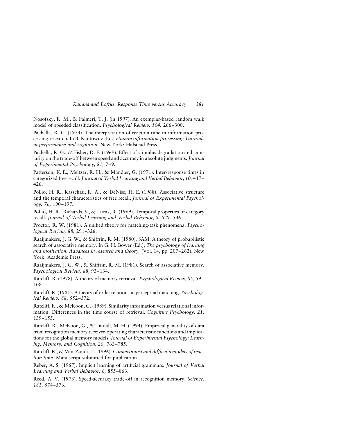Nosofsky, R. M., & Palmeri, T. J. (in 1997). An exemplar-based random walk model of speeded classification. *Psychological Review, 104,* 266–300.

Pachella, R. G. (1974). The interpretation of reaction time in information processing research. In B. Kantowitz (Ed.) *Human information processing: Tutorials in performance and cognition.* New York: Halstead Press.

Pachella, R. G., & Fisher, D. F. (1969). Effect of stimulus degradation and similarity on the trade-off between speed and accuracy in absolute judgments. *Journal of Experimental Psychology, 81,* 7–9.

Patterson, K. E., Meltzer, R. H., & Mandler, G. (1971). Inter-response times in categorized free recall. *Journal of Verbal Learning and Verbal Behavior, 10,* 417– 426.

Pollio, H. R., Kasschau, R. A., & DeNise, H. E. (1968). Associative structure and the temporal characteristics of free recall. *Journal of Experimental Psychology, 76,* 190–197.

Pollio, H. R., Richards, S., & Lucas, R. (1969). Temporal properties of category recall. *Journal of Verbal Learning and Verbal Behavior, 8,* 529–536.

Proctor, R. W. (1981). A unified theory for matching-task phenomena. *Psychological Review, 88,* 291–326.

Raaijmakers, J. G. W., & Shiffrin, R. M. (1980). SAM: A theory of probabilistic search of associative memory. In G. H. Bower (Ed.), *The psychology of learning and motivation: Advances in research and theory,* (Vol. 14, pp. 207–262). New York: Academic Press.

Raaijmakers, J. G. W., & Shiffrin, R. M. (1981). Search of associative memory. *Psychological Review, 88,* 93–134.

Ratcliff, R. (1978). A theory of memory retrieval. *Psychological Review, 85,* 59– 108.

Ratcliff, R. (1981). A theory of order relations in perceptual matching. *Psychological Review, 88,* 552–572.

Ratcliff, R., & McKoon, G. (1989). Similarity information versus relational information: Differences in the time course of retrieval. *Cognitive Psychology, 21,* 139–155.

Ratcliff, R., McKoon, G., & Tindall, M. H. (1994). Empirical generality of data from recognition memory receiver-operating characteristic functions and implications for the global memory models. *Journal of Experimental Psychology: Learning, Memory, and Cognition, 20,* 763–785.

Ratcliff, R., & Van-Zandt, T. (1996). *Connectionist and diffusion models of reaction time.* Manuscript submitted for publication.

Reber, A. S. (1967). Implicit learning of artificial grammars. *Journal of Verbal Learning and Verbal Behavior, 6,* 855–863.

Reed, A. V. (1973). Speed-accuracy trade-off in recognition memory. *Science, 181,* 574–576.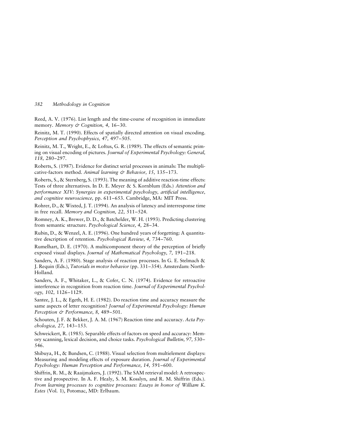Reed, A. V. (1976). List length and the time-course of recognition in immediate memory. *Memory & Cognition, 4,* 16–30.

Reinitz, M. T. (1990). Effects of spatially directed attention on visual encoding. *Perception and Psychophysics, 47,* 497–505.

Reinitz, M. T., Wright, E., & Loftus, G. R. (1989). The effects of semantic priming on visual encoding of pictures. *Journal of Experimental Psychology: General, 118,* 280–297.

Roberts, S. (1987). Evidence for distinct serial processes in animals: The multiplicative-factors method. *Animal learning & Behavior, 15,* 135–173.

Roberts, S., & Sternberg, S. (1993). The meaning of additive reaction-time effects: Tests of three alternatives. In D. E. Meyer & S. Kornblum (Eds.) *Attention and performance XIV: Synergies in experimental psychology, artificial intelligence, and cognitive neuroscience,* pp. 611–653. Cambridge, MA: MIT Press.

Rohrer, D., & Wixted, J. T. (1994). An analysis of latency and interresponse time in free recall. *Memory and Cognition, 22,* 511–524.

Romney, A. K., Brewer, D. D., & Batchelder, W. H. (1993). Predicting clustering from semantic structure. *Psychological Science, 4,* 28–34.

Rubin, D., & Wenzel, A. E. (1996). One hundred years of forgetting: A quantitative description of retention. *Psychological Review, 4,* 734–760.

Rumelhart, D. E. (1970). A multicomponent theory of the perception of briefly exposed visual displays. *Journal of Mathematical Psychology, 7,* 191–218.

Sanders, A. F. (1980). Stage analysis of reaction processes. In G. E. Stelmach & J. Requin (Eds.), *Tutorials in motor behavior* (pp. 331–354). Amsterdam: North-Holland.

Sanders, A. F., Whitaker, L., & Cofer, C. N. (1974). Evidence for retroactive interference in recognition from reaction time. *Journal of Experimental Psychology, 102,* 1126–1129.

Santee, J. L., & Egeth, H. E. (1982). Do reaction time and accuracy measure the same aspects of letter recognition? *Journal of Experimental Psychology: Human Perception & Performance, 8,* 489–501.

Schouten, J. F. & Bekker, J. A. M. (1967) Reaction time and accuracy. *Acta Psychologica, 27,* 143–153.

Schweickert, R. (1985). Separable effects of factors on speed and accuracy: Memory scanning, lexical decision, and choice tasks. *Psychological Bulletin, 97,* 530– 546.

Shibuya, H., & Bundsen, C. (1988). Visual selection from multielement displays: Measuring and modeling effects of exposure duration. *Journal of Experimental Psychology: Human Perception and Performance, 14,* 591–600.

Shiffrin, R. M., & Raaijmakers, J. (1992). The SAM retrieval model: A retrospective and prospective. In A. F. Healy, S. M. Kosslyn, and R. M. Shiffrin (Eds.). *From learning processes to cognitive processes: Essays in honor of William K. Estes* (Vol. 1), Potomac, MD: Erlbaum.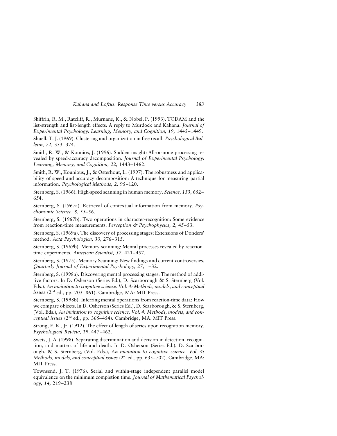Shiffrin, R. M., Ratcliff, R., Murnane, K., & Nobel, P. (1993). TODAM and the list-strength and list-length effects: A reply to Murdock and Kahana. *Journal of Experimental Psychology: Learning, Memory, and Cognition, 19,* 1445–1449.

Shuell, T. J. (1969). Clustering and organization in free recall. *Psychological Bulletin, 72,* 353–374.

Smith, R. W., & Kounios, J. (1996). Sudden insight: All-or-none processing revealed by speed-accuracy decomposition. *Journal of Experimental Psychology: Learning, Memory, and Cognition, 22,* 1443–1462.

Smith, R. W., Kounious, J., & Osterhout, L. (1997). The robustness and applicability of speed and accuracy decomposition: A technique for measuring partial information. *Psychological Methods, 2,* 95–120.

Sternberg, S. (1966). High-speed scanning in human memory. *Science, 153,* 652– 654.

Sternberg, S. (1967a). Retrieval of contextual information from memory. *Psychonomic Science, 8,* 55–56.

Sternberg, S. (1967b). Two operations in character-recognition: Some evidence from reaction-time measurements. *Perception & Psychophysics, 2,* 45–53.

Sternberg, S. (1969a). The discovery of processing stages: Extensions of Donders' method. *Acta Psychologica, 30,* 276–315.

Sternberg, S. (1969b). Memory-scanning: Mental processes revealed by reactiontime experiments. *American Scientist, 57,* 421–457.

Sternberg, S. (1975). Memory Scanning: New findings and current controversies. *Quarterly Journal of Experimental Psychology, 27,* 1–32.

Sternberg, S. (1998a). Discovering mental processing stages: The method of additive factors. In D. Osherson (Series Ed.), D. Scarborough & S. Sternberg (Vol. Eds.), *An invitation to cognitive science. Vol. 4: Methods, models, and conceptual issues* (2nd ed., pp. 703–861). Cambridge, MA: MIT Press.

Sternberg, S. (1998b). Inferring mental operations from reaction-time data: How we compare objects. In D. Osherson (Series Ed.), D. Scarborough, & S. Sternberg, (Vol. Eds.), *An invitation to cognitive science. Vol. 4: Methods, models, and conceptual issues* (2nd ed., pp. 365–454). Cambridge, MA: MIT Press.

Strong, E. K., Jr. (1912). The effect of length of series upon recognition memory. *Psychological Review, 19,* 447–462.

Swets, J. A. (1998). Separating discrimination and decision in detection, recognition, and matters of life and death. In D. Osherson (Series Ed.), D. Scarborough, & S. Sternberg, (Vol. Eds.), *An invitation to cognitive science. Vol. 4: Methods, models, and conceptual issues* (2<sup>nd</sup> ed., pp. 635–702). Cambridge, MA: MIT Press.

Townsend, J. T. (1976). Serial and within-stage independent parallel model equivalence on the minimum completion time. *Journal of Mathematical Psychology, 14,* 219–238